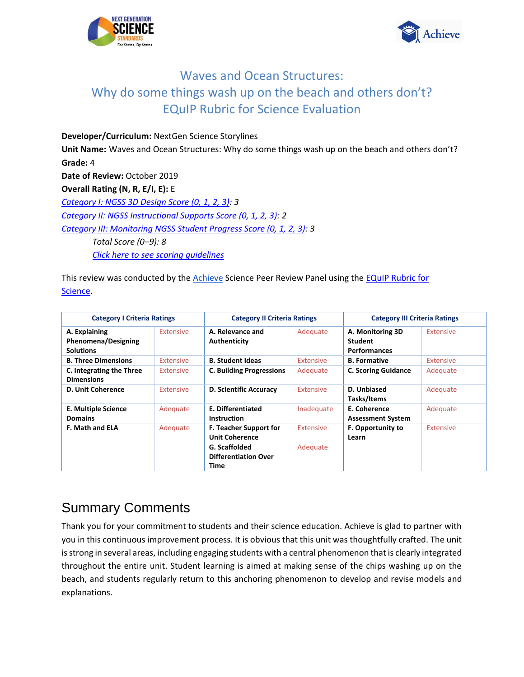



**Developer/Curriculum:** NextGen Science Storylines **Unit Name:** Waves and Ocean Structures: Why do some things wash up on the beach and others don't? **Grade:** 4 **Date of Review:** October 2019 **Overall Rating (N, R, E/I, E):** E *[Category I: NGSS 3D Design Score \(0, 1, 2, 3\):](#page-0-0) 3 [Category II: NGSS Instructional Supports Score \(0, 1, 2, 3\):](#page-19-0) 2 Category III: Monitoring NGSS Student Progress Score (0, 1, 2, 3): 3 Total Score (0–9): 8 [Click here to see scoring guidelines](#page-35-0)*

This review was conducted by the [Achieve](https://www.achieve.org/) Science Peer Review Panel using the [EQuIP Rubric for](https://nextgenscience.org/sites/default/files/EQuIPRubricforSciencev3.pdf)  [Science.](https://nextgenscience.org/sites/default/files/EQuIPRubricforSciencev3.pdf)

| <b>Category I Criteria Ratings</b>                              |                  | <b>Category II Criteria Ratings</b>                    |                  | <b>Category III Criteria Ratings</b>                      |                  |
|-----------------------------------------------------------------|------------------|--------------------------------------------------------|------------------|-----------------------------------------------------------|------------------|
| A. Explaining<br><b>Phenomena/Designing</b><br><b>Solutions</b> | Extensive        | A. Relevance and<br>Authenticity                       | Adequate         | A. Monitoring 3D<br><b>Student</b><br><b>Performances</b> | <b>Extensive</b> |
| <b>B. Three Dimensions</b>                                      | <b>Extensive</b> | <b>B. Student Ideas</b>                                | <b>Extensive</b> | <b>B.</b> Formative                                       | <b>Extensive</b> |
| C. Integrating the Three<br><b>Dimensions</b>                   | <b>Extensive</b> | <b>C. Building Progressions</b>                        | Adequate         | <b>C. Scoring Guidance</b>                                | Adequate         |
| D. Unit Coherence                                               | <b>Extensive</b> | <b>D. Scientific Accuracy</b>                          | <b>Extensive</b> | D. Unbiased<br>Tasks/Items                                | Adequate         |
| <b>E. Multiple Science</b><br><b>Domains</b>                    | Adequate         | <b>E. Differentiated</b><br><b>Instruction</b>         | Inadequate       | E. Coherence<br><b>Assessment System</b>                  | Adequate         |
| <b>F. Math and ELA</b>                                          | Adequate         | <b>F. Teacher Support for</b><br><b>Unit Coherence</b> | <b>Extensive</b> | F. Opportunity to<br>Learn                                | <b>Extensive</b> |
|                                                                 |                  | G. Scaffolded<br><b>Differentiation Over</b><br>Time   | Adequate         |                                                           |                  |

# Summary Comments

<span id="page-0-0"></span>Thank you for your commitment to students and their science education. Achieve is glad to partner with you in this continuous improvement process. It is obvious that this unit was thoughtfully crafted. The unit is strong in several areas, including engaging students with a central phenomenon that is clearly integrated throughout the entire unit. Student learning is aimed at making sense of the chips washing up on the beach, and students regularly return to this anchoring phenomenon to develop and revise models and explanations.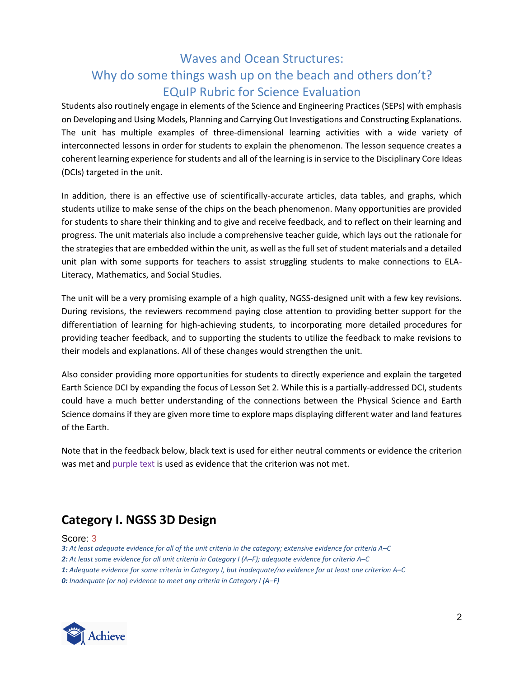Students also routinely engage in elements of the Science and Engineering Practices (SEPs) with emphasis on Developing and Using Models, Planning and Carrying Out Investigations and Constructing Explanations. The unit has multiple examples of three-dimensional learning activities with a wide variety of interconnected lessons in order for students to explain the phenomenon. The lesson sequence creates a coherent learning experience for students and all of the learning is in service to the Disciplinary Core Ideas (DCIs) targeted in the unit.

In addition, there is an effective use of scientifically-accurate articles, data tables, and graphs, which students utilize to make sense of the chips on the beach phenomenon. Many opportunities are provided for students to share their thinking and to give and receive feedback, and to reflect on their learning and progress. The unit materials also include a comprehensive teacher guide, which lays out the rationale for the strategies that are embedded within the unit, as well as the full set of student materials and a detailed unit plan with some supports for teachers to assist struggling students to make connections to ELA-Literacy, Mathematics, and Social Studies.

The unit will be a very promising example of a high quality, NGSS-designed unit with a few key revisions. During revisions, the reviewers recommend paying close attention to providing better support for the differentiation of learning for high-achieving students, to incorporating more detailed procedures for providing teacher feedback, and to supporting the students to utilize the feedback to make revisions to their models and explanations. All of these changes would strengthen the unit.

Also consider providing more opportunities for students to directly experience and explain the targeted Earth Science DCI by expanding the focus of Lesson Set 2. While this is a partially-addressed DCI, students could have a much better understanding of the connections between the Physical Science and Earth Science domains if they are given more time to explore maps displaying different water and land features of the Earth.

Note that in the feedback below, black text is used for either neutral comments or evidence the criterion was met and purple text is used as evidence that the criterion was not met.

## **Category I. NGSS 3D Design**

#### Score: 3

*3: At least adequate evidence for all of the unit criteria in the category; extensive evidence for criteria A–C 2: At least some evidence for all unit criteria in Category I (A–F); adequate evidence for criteria A–C 1: Adequate evidence for some criteria in Category I, but inadequate/no evidence for at least one criterion A–C 0: Inadequate (or no) evidence to meet any criteria in Category I (A–F)*

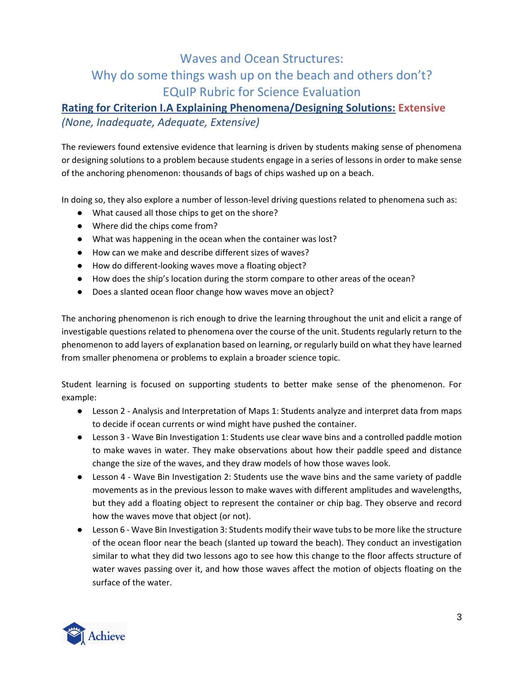### **Rating for Criterion I.A Explaining Phenomena/Designing Solutions: Extensive** *(None, Inadequate, Adequate, Extensive)*

The reviewers found extensive evidence that learning is driven by students making sense of phenomena or designing solutions to a problem because students engage in a series of lessons in order to make sense of the anchoring phenomenon: thousands of bags of chips washed up on a beach.

In doing so, they also explore a number of lesson-level driving questions related to phenomena such as:

- What caused all those chips to get on the shore?
- Where did the chips come from?
- What was happening in the ocean when the container was lost?
- How can we make and describe different sizes of waves?
- How do different-looking waves move a floating object?
- How does the ship's location during the storm compare to other areas of the ocean?
- Does a slanted ocean floor change how waves move an object?

The anchoring phenomenon is rich enough to drive the learning throughout the unit and elicit a range of investigable questions related to phenomena over the course of the unit. Students regularly return to the phenomenon to add layers of explanation based on learning, or regularly build on what they have learned from smaller phenomena or problems to explain a broader science topic.

Student learning is focused on supporting students to better make sense of the phenomenon. For example:

- Lesson 2 Analysis and Interpretation of Maps 1: Students analyze and interpret data from maps to decide if ocean currents or wind might have pushed the container.
- Lesson 3 Wave Bin Investigation 1: Students use clear wave bins and a controlled paddle motion to make waves in water. They make observations about how their paddle speed and distance change the size of the waves, and they draw models of how those waves look.
- Lesson 4 Wave Bin Investigation 2: Students use the wave bins and the same variety of paddle movements as in the previous lesson to make waves with different amplitudes and wavelengths, but they add a floating object to represent the container or chip bag. They observe and record how the waves move that object (or not).
- Lesson 6 Wave Bin Investigation 3: Students modify their wave tubs to be more like the structure of the ocean floor near the beach (slanted up toward the beach). They conduct an investigation similar to what they did two lessons ago to see how this change to the floor affects structure of water waves passing over it, and how those waves affect the motion of objects floating on the surface of the water.

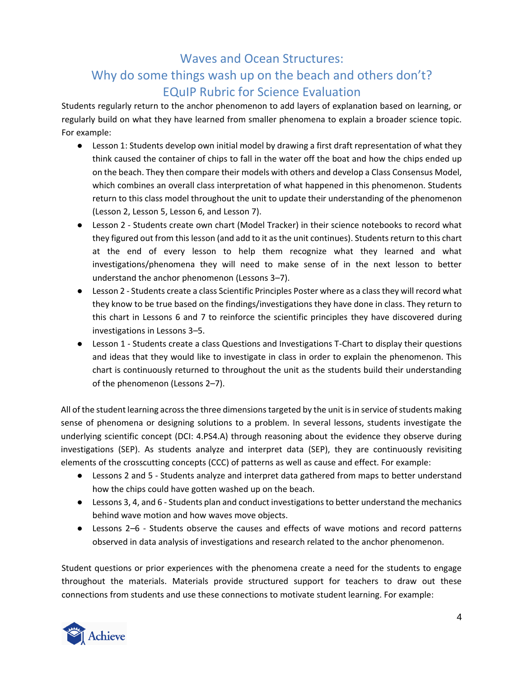Students regularly return to the anchor phenomenon to add layers of explanation based on learning, or regularly build on what they have learned from smaller phenomena to explain a broader science topic. For example:

- Lesson 1: Students develop own initial model by drawing a first draft representation of what they think caused the container of chips to fall in the water off the boat and how the chips ended up on the beach. They then compare their models with others and develop a Class Consensus Model, which combines an overall class interpretation of what happened in this phenomenon. Students return to this class model throughout the unit to update their understanding of the phenomenon (Lesson 2, Lesson 5, Lesson 6, and Lesson 7).
- Lesson 2 Students create own chart (Model Tracker) in their science notebooks to record what they figured out from this lesson (and add to it as the unit continues). Students return to this chart at the end of every lesson to help them recognize what they learned and what investigations/phenomena they will need to make sense of in the next lesson to better understand the anchor phenomenon (Lessons 3*–*7).
- Lesson 2 Students create a class Scientific Principles Poster where as a class they will record what they know to be true based on the findings/investigations they have done in class. They return to this chart in Lessons 6 and 7 to reinforce the scientific principles they have discovered during investigations in Lessons 3*–*5.
- Lesson 1 Students create a class Questions and Investigations T-Chart to display their questions and ideas that they would like to investigate in class in order to explain the phenomenon. This chart is continuously returned to throughout the unit as the students build their understanding of the phenomenon (Lessons 2*–*7).

All of the student learning across the three dimensions targeted by the unit is in service of students making sense of phenomena or designing solutions to a problem. In several lessons, students investigate the underlying scientific concept (DCI: 4.PS4.A) through reasoning about the evidence they observe during investigations (SEP). As students analyze and interpret data (SEP), they are continuously revisiting elements of the crosscutting concepts (CCC) of patterns as well as cause and effect. For example:

- Lessons 2 and 5 Students analyze and interpret data gathered from maps to better understand how the chips could have gotten washed up on the beach.
- Lessons 3, 4, and 6 Students plan and conduct investigations to better understand the mechanics behind wave motion and how waves move objects.
- Lessons 2*–*6 Students observe the causes and effects of wave motions and record patterns observed in data analysis of investigations and research related to the anchor phenomenon.

Student questions or prior experiences with the phenomena create a need for the students to engage throughout the materials. Materials provide structured support for teachers to draw out these connections from students and use these connections to motivate student learning. For example:

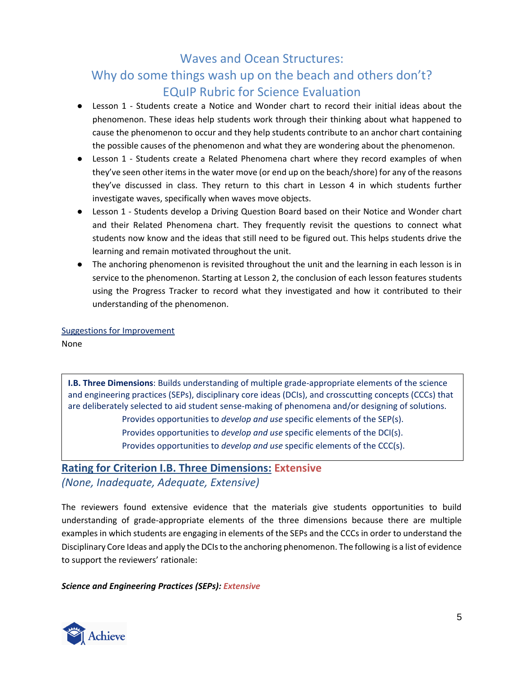- Lesson 1 Students create a Notice and Wonder chart to record their initial ideas about the phenomenon. These ideas help students work through their thinking about what happened to cause the phenomenon to occur and they help students contribute to an anchor chart containing the possible causes of the phenomenon and what they are wondering about the phenomenon.
- Lesson 1 Students create a Related Phenomena chart where they record examples of when they've seen other items in the water move (or end up on the beach/shore) for any of the reasons they've discussed in class. They return to this chart in Lesson 4 in which students further investigate waves, specifically when waves move objects.
- Lesson 1 Students develop a Driving Question Board based on their Notice and Wonder chart and their Related Phenomena chart. They frequently revisit the questions to connect what students now know and the ideas that still need to be figured out. This helps students drive the learning and remain motivated throughout the unit.
- The anchoring phenomenon is revisited throughout the unit and the learning in each lesson is in service to the phenomenon. Starting at Lesson 2, the conclusion of each lesson features students using the Progress Tracker to record what they investigated and how it contributed to their understanding of the phenomenon.

Suggestions for Improvement

None

**I.B. Three Dimensions**: Builds understanding of multiple grade-appropriate elements of the science and engineering practices (SEPs), disciplinary core ideas (DCIs), and crosscutting concepts (CCCs) that are deliberately selected to aid student sense-making of phenomena and/or designing of solutions. Provides opportunities to *develop and use* specific elements of the SEP(s). Provides opportunities to *develop and use* specific elements of the DCI(s). Provides opportunities to *develop and use* specific elements of the CCC(s).

### **Rating for Criterion I.B. Three Dimensions: Extensive** *(None, Inadequate, Adequate, Extensive)*

The reviewers found extensive evidence that the materials give students opportunities to build understanding of grade-appropriate elements of the three dimensions because there are multiple examples in which students are engaging in elements of the SEPs and the CCCs in order to understand the Disciplinary Core Ideas and apply the DCIs to the anchoring phenomenon. The following is a list of evidence to support the reviewers' rationale:

### *Science and Engineering Practices (SEPs): Extensive*

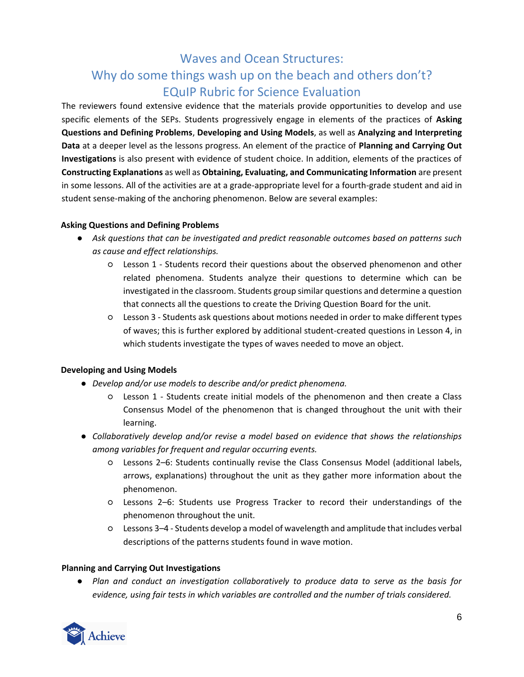The reviewers found extensive evidence that the materials provide opportunities to develop and use specific elements of the SEPs. Students progressively engage in elements of the practices of **Asking Questions and Defining Problems**, **Developing and Using Models**, as well as **Analyzing and Interpreting Data** at a deeper level as the lessons progress. An element of the practice of **Planning and Carrying Out Investigations** is also present with evidence of student choice. In addition, elements of the practices of **Constructing Explanations** as well as **Obtaining, Evaluating, and Communicating Information** are present in some lessons. All of the activities are at a grade-appropriate level for a fourth-grade student and aid in student sense-making of the anchoring phenomenon. Below are several examples:

#### **Asking Questions and Defining Problems**

- *Ask questions that can be investigated and predict reasonable outcomes based on patterns such as cause and effect relationships.*
	- Lesson 1 Students record their questions about the observed phenomenon and other related phenomena. Students analyze their questions to determine which can be investigated in the classroom. Students group similar questions and determine a question that connects all the questions to create the Driving Question Board for the unit.
	- Lesson 3 Students ask questions about motions needed in order to make different types of waves; this is further explored by additional student-created questions in Lesson 4, in which students investigate the types of waves needed to move an object.

### **Developing and Using Models**

- *Develop and/or use models to describe and/or predict phenomena.*
	- Lesson 1 Students create initial models of the phenomenon and then create a Class Consensus Model of the phenomenon that is changed throughout the unit with their learning.
- *Collaboratively develop and/or revise a model based on evidence that shows the relationships among variables for frequent and regular occurring events.*
	- Lessons 2*–*6: Students continually revise the Class Consensus Model (additional labels, arrows, explanations) throughout the unit as they gather more information about the phenomenon.
	- Lessons 2*–*6: Students use Progress Tracker to record their understandings of the phenomenon throughout the unit.
	- Lessons 3*–*4 Students develop a model of wavelength and amplitude that includes verbal descriptions of the patterns students found in wave motion.

### **Planning and Carrying Out Investigations**

● *Plan and conduct an investigation collaboratively to produce data to serve as the basis for evidence, using fair tests in which variables are controlled and the number of trials considered.*

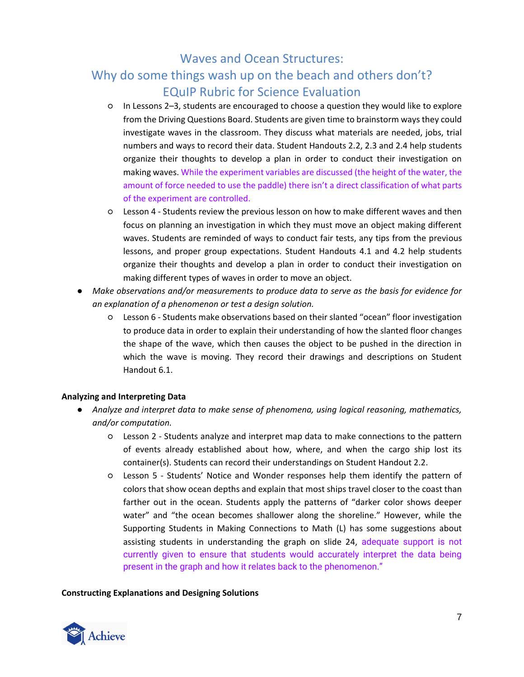# Why do some things wash up on the beach and others don't? EQuIP Rubric for Science Evaluation

- In Lessons 2*–*3, students are encouraged to choose a question they would like to explore from the Driving Questions Board. Students are given time to brainstorm ways they could investigate waves in the classroom. They discuss what materials are needed, jobs, trial numbers and ways to record their data. Student Handouts 2.2, 2.3 and 2.4 help students organize their thoughts to develop a plan in order to conduct their investigation on making waves. While the experiment variables are discussed (the height of the water, the amount of force needed to use the paddle) there isn't a direct classification of what parts of the experiment are controlled.
- Lesson 4 Students review the previous lesson on how to make different waves and then focus on planning an investigation in which they must move an object making different waves. Students are reminded of ways to conduct fair tests, any tips from the previous lessons, and proper group expectations. Student Handouts 4.1 and 4.2 help students organize their thoughts and develop a plan in order to conduct their investigation on making different types of waves in order to move an object.
- *Make observations and/or measurements to produce data to serve as the basis for evidence for an explanation of a phenomenon or test a design solution.*
	- Lesson 6 Students make observations based on their slanted "ocean" floor investigation to produce data in order to explain their understanding of how the slanted floor changes the shape of the wave, which then causes the object to be pushed in the direction in which the wave is moving. They record their drawings and descriptions on Student Handout 6.1.

### **Analyzing and Interpreting Data**

- *Analyze and interpret data to make sense of phenomena, using logical reasoning, mathematics, and/or computation.*
	- Lesson 2 Students analyze and interpret map data to make connections to the pattern of events already established about how, where, and when the cargo ship lost its container(s). Students can record their understandings on Student Handout 2.2.
	- Lesson 5 Students' Notice and Wonder responses help them identify the pattern of colors that show ocean depths and explain that most ships travel closer to the coast than farther out in the ocean. Students apply the patterns of "darker color shows deeper water" and "the ocean becomes shallower along the shoreline." However, while the Supporting Students in Making Connections to Math (L) has some suggestions about assisting students in understanding the graph on slide 24, adequate support is not currently given to ensure that students would accurately interpret the data being present in the graph and how it relates back to the phenomenon."

#### **Constructing Explanations and Designing Solutions**

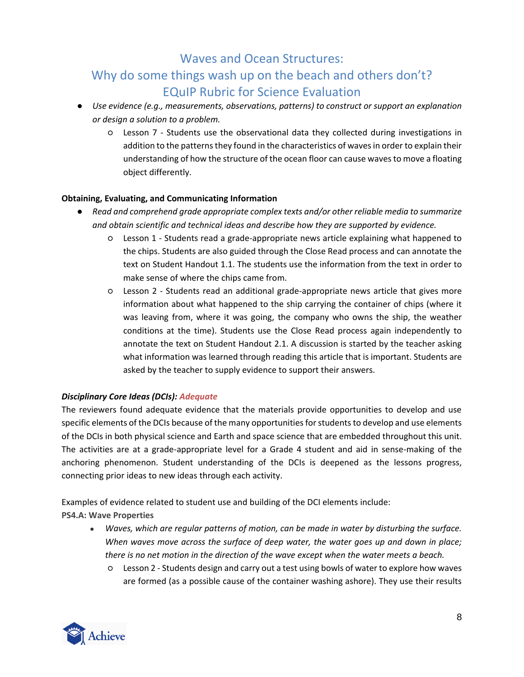- *Use evidence (e.g., measurements, observations, patterns) to construct or support an explanation or design a solution to a problem.*
	- Lesson 7 Students use the observational data they collected during investigations in addition to the patterns they found in the characteristics of waves in order to explain their understanding of how the structure of the ocean floor can cause waves to move a floating object differently.

### **Obtaining, Evaluating, and Communicating Information**

- *Read and comprehend grade appropriate complex texts and/or other reliable media to summarize and obtain scientific and technical ideas and describe how they are supported by evidence.*
	- Lesson 1 Students read a grade-appropriate news article explaining what happened to the chips. Students are also guided through the Close Read process and can annotate the text on Student Handout 1.1. The students use the information from the text in order to make sense of where the chips came from.
	- Lesson 2 Students read an additional grade-appropriate news article that gives more information about what happened to the ship carrying the container of chips (where it was leaving from, where it was going, the company who owns the ship, the weather conditions at the time). Students use the Close Read process again independently to annotate the text on Student Handout 2.1. A discussion is started by the teacher asking what information was learned through reading this article that is important. Students are asked by the teacher to supply evidence to support their answers.

### *Disciplinary Core Ideas (DCIs): Adequate*

The reviewers found adequate evidence that the materials provide opportunities to develop and use specific elements of the DCIs because of the many opportunities for students to develop and use elements of the DCIs in both physical science and Earth and space science that are embedded throughout this unit. The activities are at a grade-appropriate level for a Grade 4 student and aid in sense-making of the anchoring phenomenon. Student understanding of the DCIs is deepened as the lessons progress, connecting prior ideas to new ideas through each activity.

Examples of evidence related to student use and building of the DCI elements include:

**PS4.A: Wave Properties**

- *Waves, which are regular patterns of motion, can be made in water by disturbing the surface. When waves move across the surface of deep water, the water goes up and down in place; there is no net motion in the direction of the wave except when the water meets a beach.*
	- Lesson 2 Students design and carry out a test using bowls of water to explore how waves are formed (as a possible cause of the container washing ashore). They use their results

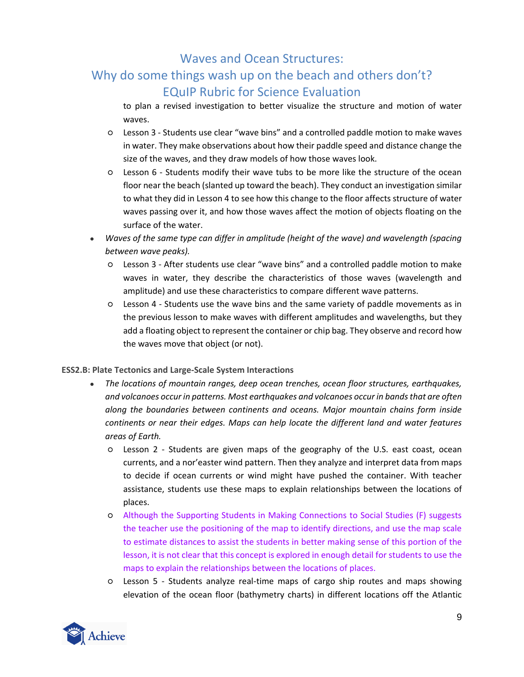# Why do some things wash up on the beach and others don't? EQuIP Rubric for Science Evaluation

to plan a revised investigation to better visualize the structure and motion of water waves.

- Lesson 3 Students use clear "wave bins" and a controlled paddle motion to make waves in water. They make observations about how their paddle speed and distance change the size of the waves, and they draw models of how those waves look.
- Lesson 6 Students modify their wave tubs to be more like the structure of the ocean floor near the beach (slanted up toward the beach). They conduct an investigation similar to what they did in Lesson 4 to see how this change to the floor affects structure of water waves passing over it, and how those waves affect the motion of objects floating on the surface of the water.
- *Waves of the same type can differ in amplitude (height of the wave) and wavelength (spacing between wave peaks).*
	- Lesson 3 After students use clear "wave bins" and a controlled paddle motion to make waves in water, they describe the characteristics of those waves (wavelength and amplitude) and use these characteristics to compare different wave patterns.
	- Lesson 4 Students use the wave bins and the same variety of paddle movements as in the previous lesson to make waves with different amplitudes and wavelengths, but they add a floating object to represent the container or chip bag. They observe and record how the waves move that object (or not).

### **ESS2.B: Plate Tectonics and Large-Scale System Interactions**

- *The locations of mountain ranges, deep ocean trenches, ocean floor structures, earthquakes, and volcanoes occur in patterns. Most earthquakes and volcanoes occur in bands that are often along the boundaries between continents and oceans. Major mountain chains form inside continents or near their edges. Maps can help locate the different land and water features areas of Earth.*
	- Lesson 2 Students are given maps of the geography of the U.S. east coast, ocean currents, and a nor'easter wind pattern. Then they analyze and interpret data from maps to decide if ocean currents or wind might have pushed the container. With teacher assistance, students use these maps to explain relationships between the locations of places.
	- Although the Supporting Students in Making Connections to Social Studies (F) suggests the teacher use the positioning of the map to identify directions, and use the map scale to estimate distances to assist the students in better making sense of this portion of the lesson, it is not clear that this concept is explored in enough detail for students to use the maps to explain the relationships between the locations of places.
	- Lesson 5 Students analyze real-time maps of cargo ship routes and maps showing elevation of the ocean floor (bathymetry charts) in different locations off the Atlantic

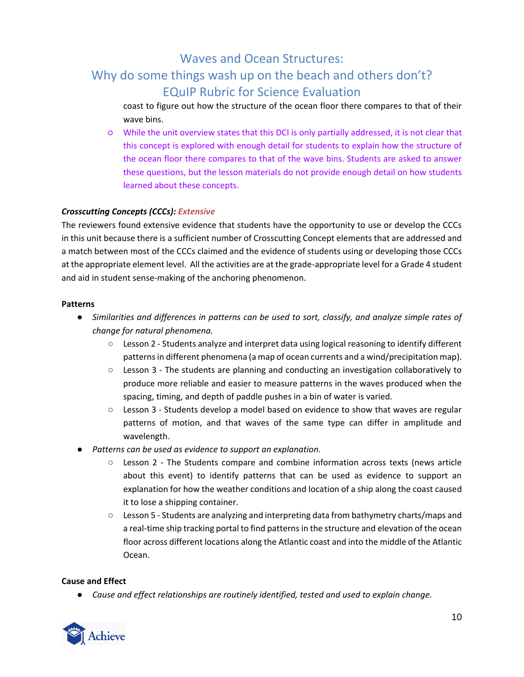# Why do some things wash up on the beach and others don't? EQuIP Rubric for Science Evaluation

coast to figure out how the structure of the ocean floor there compares to that of their wave bins.

○ While the unit overview states that this DCI is only partially addressed, it is not clear that this concept is explored with enough detail for students to explain how the structure of the ocean floor there compares to that of the wave bins. Students are asked to answer these questions, but the lesson materials do not provide enough detail on how students learned about these concepts.

#### *Crosscutting Concepts (CCCs): Extensive*

The reviewers found extensive evidence that students have the opportunity to use or develop the CCCs in this unit because there is a sufficient number of Crosscutting Concept elements that are addressed and a match between most of the CCCs claimed and the evidence of students using or developing those CCCs at the appropriate element level. All the activities are at the grade-appropriate level for a Grade 4 student and aid in student sense-making of the anchoring phenomenon.

#### **Patterns**

- *Similarities and differences in patterns can be used to sort, classify, and analyze simple rates of change for natural phenomena.*
	- Lesson 2 Students analyze and interpret data using logical reasoning to identify different patterns in different phenomena (a map of ocean currents and a wind/precipitation map).
	- Lesson 3 The students are planning and conducting an investigation collaboratively to produce more reliable and easier to measure patterns in the waves produced when the spacing, timing, and depth of paddle pushes in a bin of water is varied.
	- $\circ$  Lesson 3 Students develop a model based on evidence to show that waves are regular patterns of motion, and that waves of the same type can differ in amplitude and wavelength.
- *Patterns can be used as evidence to support an explanation.* 
	- Lesson 2 The Students compare and combine information across texts (news article about this event) to identify patterns that can be used as evidence to support an explanation for how the weather conditions and location of a ship along the coast caused it to lose a shipping container.
	- Lesson 5 Students are analyzing and interpreting data from bathymetry charts/maps and a real-time ship tracking portal to find patterns in the structure and elevation of the ocean floor across different locations along the Atlantic coast and into the middle of the Atlantic Ocean.

#### **Cause and Effect**

● *Cause and effect relationships are routinely identified, tested and used to explain change.* 

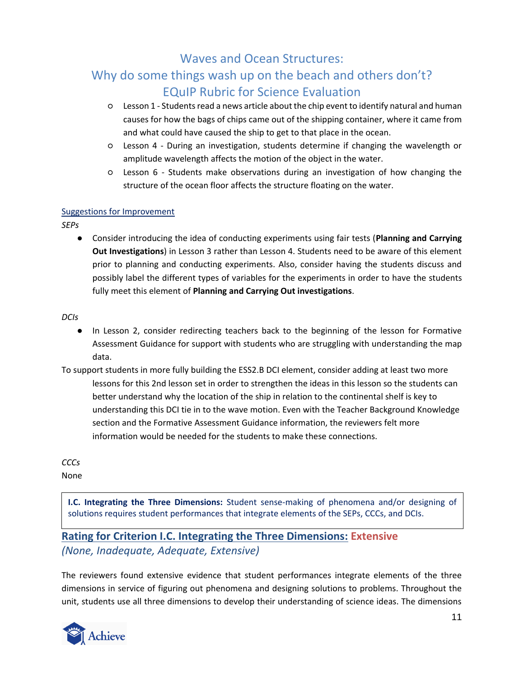# Why do some things wash up on the beach and others don't? EQuIP Rubric for Science Evaluation

- Lesson 1 Students read a news article about the chip event to identify natural and human causes for how the bags of chips came out of the shipping container, where it came from and what could have caused the ship to get to that place in the ocean.
- Lesson 4 During an investigation, students determine if changing the wavelength or amplitude wavelength affects the motion of the object in the water.
- Lesson 6 Students make observations during an investigation of how changing the structure of the ocean floor affects the structure floating on the water.

### Suggestions for Improvement

*SEPs*

● Consider introducing the idea of conducting experiments using fair tests (**Planning and Carrying Out Investigations**) in Lesson 3 rather than Lesson 4. Students need to be aware of this element prior to planning and conducting experiments. Also, consider having the students discuss and possibly label the different types of variables for the experiments in order to have the students fully meet this element of **Planning and Carrying Out investigations**.

*DCIs*

- In Lesson 2, consider redirecting teachers back to the beginning of the lesson for Formative Assessment Guidance for support with students who are struggling with understanding the map data.
- To support students in more fully building the ESS2.B DCI element, consider adding at least two more lessons for this 2nd lesson set in order to strengthen the ideas in this lesson so the students can better understand why the location of the ship in relation to the continental shelf is key to understanding this DCI tie in to the wave motion. Even with the Teacher Background Knowledge section and the Formative Assessment Guidance information, the reviewers felt more information would be needed for the students to make these connections.

*CCCs*

None

**I.C. Integrating the Three Dimensions:** Student sense-making of phenomena and/or designing of solutions requires student performances that integrate elements of the SEPs, CCCs, and DCIs.

### **Rating for Criterion I.C. Integrating the Three Dimensions: Extensive** *(None, Inadequate, Adequate, Extensive)*

The reviewers found extensive evidence that student performances integrate elements of the three dimensions in service of figuring out phenomena and designing solutions to problems. Throughout the unit, students use all three dimensions to develop their understanding of science ideas. The dimensions

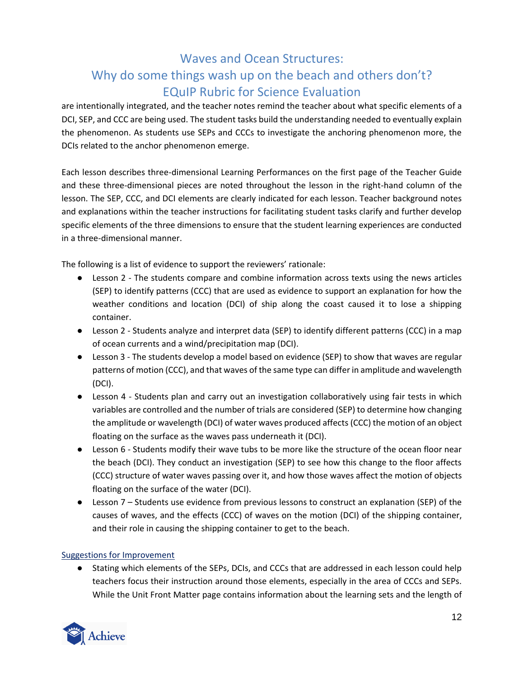are intentionally integrated, and the teacher notes remind the teacher about what specific elements of a DCI, SEP, and CCC are being used. The student tasks build the understanding needed to eventually explain the phenomenon. As students use SEPs and CCCs to investigate the anchoring phenomenon more, the DCIs related to the anchor phenomenon emerge.

Each lesson describes three-dimensional Learning Performances on the first page of the Teacher Guide and these three-dimensional pieces are noted throughout the lesson in the right-hand column of the lesson. The SEP, CCC, and DCI elements are clearly indicated for each lesson. Teacher background notes and explanations within the teacher instructions for facilitating student tasks clarify and further develop specific elements of the three dimensions to ensure that the student learning experiences are conducted in a three-dimensional manner.

The following is a list of evidence to support the reviewers' rationale:

- Lesson 2 The students compare and combine information across texts using the news articles (SEP) to identify patterns (CCC) that are used as evidence to support an explanation for how the weather conditions and location (DCI) of ship along the coast caused it to lose a shipping container.
- Lesson 2 Students analyze and interpret data (SEP) to identify different patterns (CCC) in a map of ocean currents and a wind/precipitation map (DCI).
- Lesson 3 The students develop a model based on evidence (SEP) to show that waves are regular patterns of motion (CCC), and that waves of the same type can differ in amplitude and wavelength (DCI).
- Lesson 4 Students plan and carry out an investigation collaboratively using fair tests in which variables are controlled and the number of trials are considered (SEP) to determine how changing the amplitude or wavelength (DCI) of water waves produced affects (CCC) the motion of an object floating on the surface as the waves pass underneath it (DCI).
- Lesson 6 Students modify their wave tubs to be more like the structure of the ocean floor near the beach (DCI). They conduct an investigation (SEP) to see how this change to the floor affects (CCC) structure of water waves passing over it, and how those waves affect the motion of objects floating on the surface of the water (DCI).
- Lesson 7 Students use evidence from previous lessons to construct an explanation (SEP) of the causes of waves, and the effects (CCC) of waves on the motion (DCI) of the shipping container, and their role in causing the shipping container to get to the beach.

### Suggestions for Improvement

● Stating which elements of the SEPs, DCIs, and CCCs that are addressed in each lesson could help teachers focus their instruction around those elements, especially in the area of CCCs and SEPs. While the Unit Front Matter page contains information about the learning sets and the length of

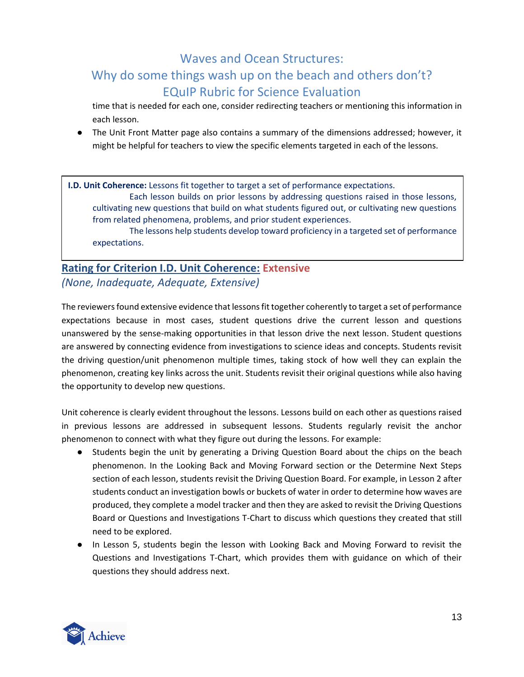# Why do some things wash up on the beach and others don't? EQuIP Rubric for Science Evaluation

time that is needed for each one, consider redirecting teachers or mentioning this information in each lesson.

● The Unit Front Matter page also contains a summary of the dimensions addressed; however, it might be helpful for teachers to view the specific elements targeted in each of the lessons.

**I.D. Unit Coherence:** Lessons fit together to target a set of performance expectations.

Each lesson builds on prior lessons by addressing questions raised in those lessons, cultivating new questions that build on what students figured out, or cultivating new questions from related phenomena, problems, and prior student experiences.

The lessons help students develop toward proficiency in a targeted set of performance expectations.

## **Rating for Criterion I.D. Unit Coherence: Extensive** *(None, Inadequate, Adequate, Extensive)*

The reviewers found extensive evidence that lessons fit together coherently to target a set of performance expectations because in most cases, student questions drive the current lesson and questions unanswered by the sense-making opportunities in that lesson drive the next lesson. Student questions are answered by connecting evidence from investigations to science ideas and concepts. Students revisit the driving question/unit phenomenon multiple times, taking stock of how well they can explain the phenomenon, creating key links across the unit. Students revisit their original questions while also having the opportunity to develop new questions.

Unit coherence is clearly evident throughout the lessons. Lessons build on each other as questions raised in previous lessons are addressed in subsequent lessons. Students regularly revisit the anchor phenomenon to connect with what they figure out during the lessons. For example:

- Students begin the unit by generating a Driving Question Board about the chips on the beach phenomenon. In the Looking Back and Moving Forward section or the Determine Next Steps section of each lesson, students revisit the Driving Question Board. For example, in Lesson 2 after students conduct an investigation bowls or buckets of water in order to determine how waves are produced, they complete a model tracker and then they are asked to revisit the Driving Questions Board or Questions and Investigations T-Chart to discuss which questions they created that still need to be explored.
- In Lesson 5, students begin the lesson with Looking Back and Moving Forward to revisit the Questions and Investigations T-Chart, which provides them with guidance on which of their questions they should address next.

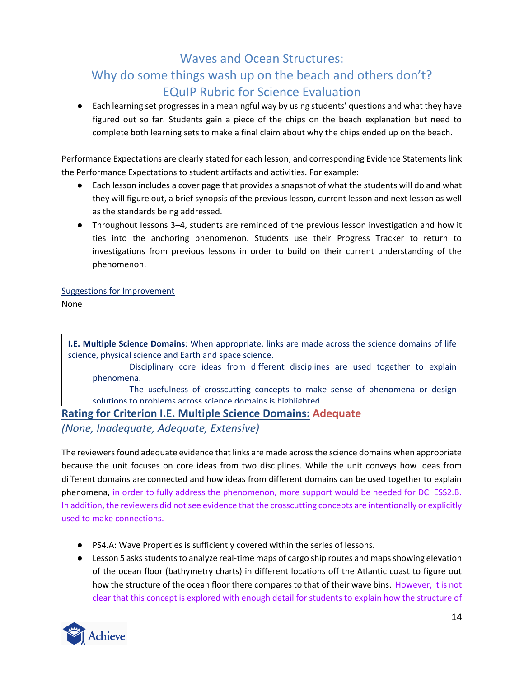● Each learning set progresses in a meaningful way by using students' questions and what they have figured out so far. Students gain a piece of the chips on the beach explanation but need to complete both learning sets to make a final claim about why the chips ended up on the beach.

Performance Expectations are clearly stated for each lesson, and corresponding Evidence Statements link the Performance Expectations to student artifacts and activities. For example:

- Each lesson includes a cover page that provides a snapshot of what the students will do and what they will figure out, a brief synopsis of the previous lesson, current lesson and next lesson as well as the standards being addressed.
- Throughout lessons 3*–*4, students are reminded of the previous lesson investigation and how it ties into the anchoring phenomenon. Students use their Progress Tracker to return to investigations from previous lessons in order to build on their current understanding of the phenomenon.

### Suggestions for Improvement

None

**I.E. Multiple Science Domains**: When appropriate, links are made across the science domains of life science, physical science and Earth and space science.

Disciplinary core ideas from different disciplines are used together to explain phenomena.

The usefulness of crosscutting concepts to make sense of phenomena or design solutions to problems across science domains is highlighted.

### **Rating for Criterion I.E. Multiple Science Domains: Adequate** *(None, Inadequate, Adequate, Extensive)*

The reviewers found adequate evidence that links are made across the science domains when appropriate because the unit focuses on core ideas from two disciplines. While the unit conveys how ideas from different domains are connected and how ideas from different domains can be used together to explain phenomena, in order to fully address the phenomenon, more support would be needed for DCI ESS2.B. In addition, the reviewers did not see evidence that the crosscutting concepts are intentionally or explicitly used to make connections.

- PS4.A: Wave Properties is sufficiently covered within the series of lessons.
- Lesson 5 asks students to analyze real-time maps of cargo ship routes and maps showing elevation of the ocean floor (bathymetry charts) in different locations off the Atlantic coast to figure out how the structure of the ocean floor there compares to that of their wave bins. However, it is not clear that this concept is explored with enough detail for students to explain how the structure of

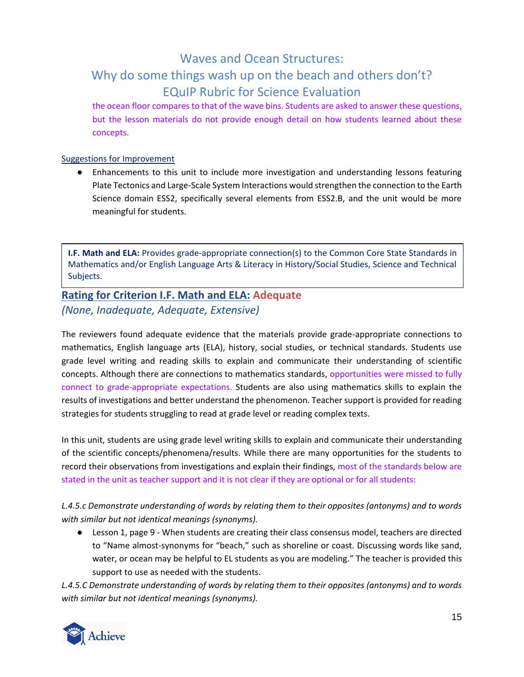the ocean floor compares to that of the wave bins. Students are asked to answer these questions, but the lesson materials do not provide enough detail on how students learned about these concepts.

#### Suggestions for Improvement

● Enhancements to this unit to include more investigation and understanding lessons featuring Plate Tectonics and Large-Scale System Interactions would strengthen the connection to the Earth Science domain ESS2, specifically several elements from ESS2.B, and the unit would be more meaningful for students.

**I.F. Math and ELA:** Provides grade-appropriate connection(s) to the Common Core State Standards in Mathematics and/or English Language Arts & Literacy in History/Social Studies, Science and Technical Subjects.

### **Rating for Criterion I.F. Math and ELA: Adequate** *(None, Inadequate, Adequate, Extensive)*

The reviewers found adequate evidence that the materials provide grade-appropriate connections to mathematics, English language arts (ELA), history, social studies, or technical standards. Students use grade level writing and reading skills to explain and communicate their understanding of scientific concepts. Although there are connections to mathematics standards, opportunities were missed to fully connect to grade-appropriate expectations. Students are also using mathematics skills to explain the results of investigations and better understand the phenomenon. Teacher support is provided for reading strategies for students struggling to read at grade level or reading complex texts.

In this unit, students are using grade level writing skills to explain and communicate their understanding of the scientific concepts/phenomena/results. While there are many opportunities for the students to record their observations from investigations and explain their findings, most of the standards below are stated in the unit as teacher support and it is not clear if they are optional or for all students:

*L.4.5.c Demonstrate understanding of words by relating them to their opposites (antonyms) and to words with similar but not identical meanings (synonyms).*

● Lesson 1, page 9 - When students are creating their class consensus model, teachers are directed to "Name almost-synonyms for "beach," such as shoreline or coast. Discussing words like sand, water, or ocean may be helpful to EL students as you are modeling." The teacher is provided this support to use as needed with the students.

*L.4.5.C Demonstrate understanding of words by relating them to their opposites (antonyms) and to words with similar but not identical meanings (synonyms).*

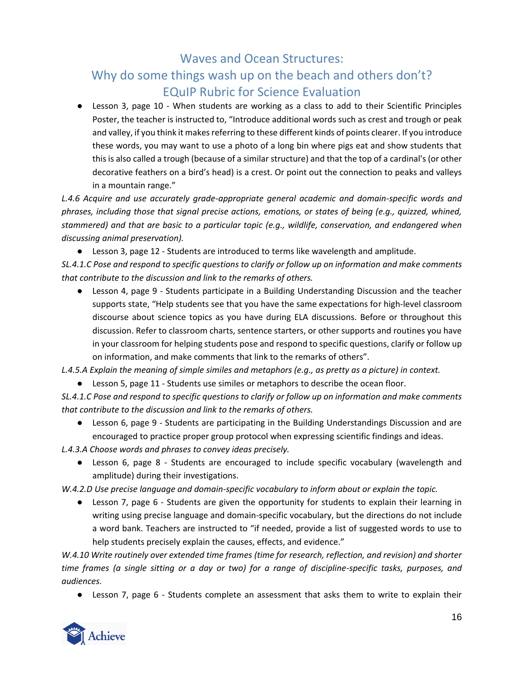● Lesson 3, page 10 - When students are working as a class to add to their Scientific Principles Poster, the teacher is instructed to, "Introduce additional words such as crest and trough or peak and valley, if you think it makes referring to these different kinds of points clearer. If you introduce these words, you may want to use a photo of a long bin where pigs eat and show students that this is also called a trough (because of a similar structure) and that the top of a cardinal's (or other decorative feathers on a bird's head) is a crest. Or point out the connection to peaks and valleys in a mountain range."

L.4.6 Acquire and use accurately grade-appropriate general academic and domain-specific words and *phrases, including those that signal precise actions, emotions, or states of being (e.g., quizzed, whined, stammered) and that are basic to a particular topic (e.g., wildlife, conservation, and endangered when discussing animal preservation).*

● Lesson 3, page 12 - Students are introduced to terms like wavelength and amplitude.

*SL.4.1.C Pose and respond to specific questions to clarify or follow up on information and make comments that contribute to the discussion and link to the remarks of others.*

● Lesson 4, page 9 - Students participate in a Building Understanding Discussion and the teacher supports state, "Help students see that you have the same expectations for high-level classroom discourse about science topics as you have during ELA discussions. Before or throughout this discussion. Refer to classroom charts, sentence starters, or other supports and routines you have in your classroom for helping students pose and respond to specific questions, clarify or follow up on information, and make comments that link to the remarks of others".

*L.4.5.A Explain the meaning of simple similes and metaphors (e.g., as pretty as a picture) in context.*

● Lesson 5, page 11 - Students use similes or metaphors to describe the ocean floor.

*SL.4.1.C Pose and respond to specific questions to clarify or follow up on information and make comments that contribute to the discussion and link to the remarks of others.*

● Lesson 6, page 9 - Students are participating in the Building Understandings Discussion and are encouraged to practice proper group protocol when expressing scientific findings and ideas.

*L.4.3.A Choose words and phrases to convey ideas precisely.*

● Lesson 6, page 8 - Students are encouraged to include specific vocabulary (wavelength and amplitude) during their investigations.

*W.4.2.D Use precise language and domain-specific vocabulary to inform about or explain the topic.*

● Lesson 7, page 6 - Students are given the opportunity for students to explain their learning in writing using precise language and domain-specific vocabulary, but the directions do not include a word bank. Teachers are instructed to "if needed, provide a list of suggested words to use to help students precisely explain the causes, effects, and evidence."

*W.4.10 Write routinely over extended time frames (time for research, reflection, and revision) and shorter time frames (a single sitting or a day or two) for a range of discipline-specific tasks, purposes, and audiences.*

● Lesson 7, page 6 - Students complete an assessment that asks them to write to explain their

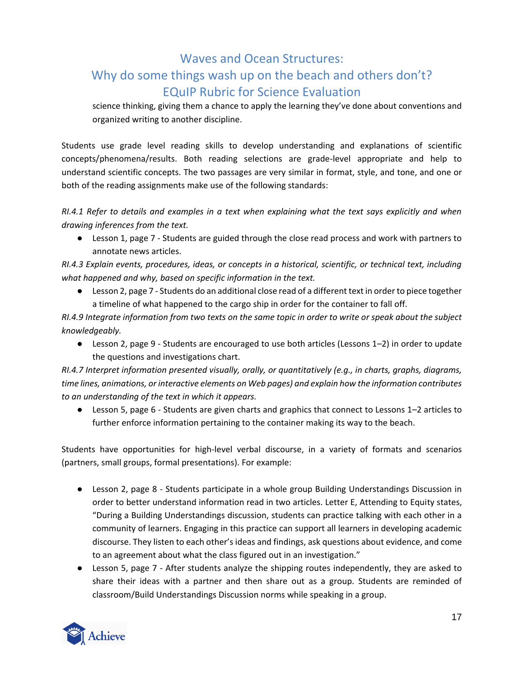science thinking, giving them a chance to apply the learning they've done about conventions and organized writing to another discipline.

Students use grade level reading skills to develop understanding and explanations of scientific concepts/phenomena/results. Both reading selections are grade-level appropriate and help to understand scientific concepts. The two passages are very similar in format, style, and tone, and one or both of the reading assignments make use of the following standards:

*RI.4.1 Refer to details and examples in a text when explaining what the text says explicitly and when drawing inferences from the text.*

● Lesson 1, page 7 - Students are guided through the close read process and work with partners to annotate news articles.

*RI.4.3 Explain events, procedures, ideas, or concepts in a historical, scientific, or technical text, including what happened and why, based on specific information in the text.*

● Lesson 2, page 7 - Students do an additional close read of a different text in order to piece together a timeline of what happened to the cargo ship in order for the container to fall off.

*RI.4.9 Integrate information from two texts on the same topic in order to write or speak about the subject knowledgeably.*

● Lesson 2, page 9 - Students are encouraged to use both articles (Lessons 1*–*2) in order to update the questions and investigations chart.

*RI.4.7 Interpret information presented visually, orally, or quantitatively (e.g., in charts, graphs, diagrams, time lines, animations, or interactive elements on Web pages) and explain how the information contributes to an understanding of the text in which it appears.*

● Lesson 5, page 6 - Students are given charts and graphics that connect to Lessons 1*–*2 articles to further enforce information pertaining to the container making its way to the beach.

Students have opportunities for high-level verbal discourse, in a variety of formats and scenarios (partners, small groups, formal presentations). For example:

- Lesson 2, page 8 Students participate in a whole group Building Understandings Discussion in order to better understand information read in two articles. Letter E, Attending to Equity states, "During a Building Understandings discussion, students can practice talking with each other in a community of learners. Engaging in this practice can support all learners in developing academic discourse. They listen to each other's ideas and findings, ask questions about evidence, and come to an agreement about what the class figured out in an investigation."
- Lesson 5, page 7 After students analyze the shipping routes independently, they are asked to share their ideas with a partner and then share out as a group. Students are reminded of classroom/Build Understandings Discussion norms while speaking in a group.

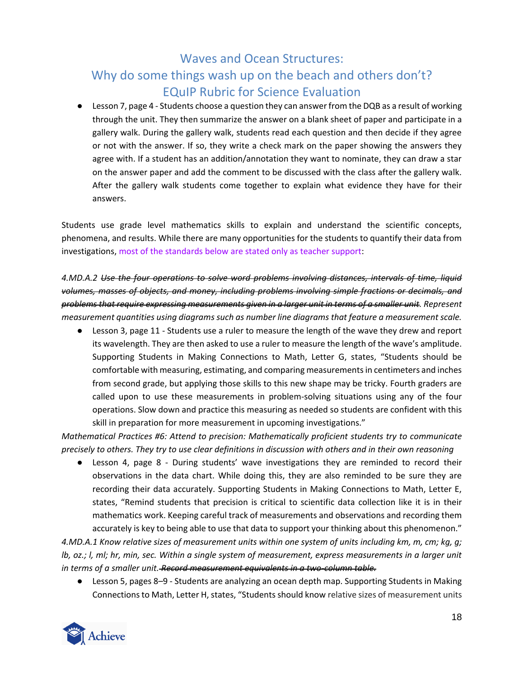● Lesson 7, page 4 - Students choose a question they can answer from the DQB as a result of working through the unit. They then summarize the answer on a blank sheet of paper and participate in a gallery walk. During the gallery walk, students read each question and then decide if they agree or not with the answer. If so, they write a check mark on the paper showing the answers they agree with. If a student has an addition/annotation they want to nominate, they can draw a star on the answer paper and add the comment to be discussed with the class after the gallery walk. After the gallery walk students come together to explain what evidence they have for their answers.

Students use grade level mathematics skills to explain and understand the scientific concepts, phenomena, and results. While there are many opportunities for the students to quantify their data from investigations, most of the standards below are stated only as teacher support:

*4.MD.A.2 Use the four operations to solve word problems involving distances, intervals of time, liquid volumes, masses of objects, and money, including problems involving simple fractions or decimals, and problems that require expressing measurements given in a larger unit in terms of a smaller unit. Represent measurement quantities using diagrams such as number line diagrams that feature a measurement scale.*

● Lesson 3, page 11 - Students use a ruler to measure the length of the wave they drew and report its wavelength. They are then asked to use a ruler to measure the length of the wave's amplitude. Supporting Students in Making Connections to Math, Letter G, states, "Students should be comfortable with measuring, estimating, and comparing measurements in centimeters and inches from second grade, but applying those skills to this new shape may be tricky. Fourth graders are called upon to use these measurements in problem-solving situations using any of the four operations. Slow down and practice this measuring as needed so students are confident with this skill in preparation for more measurement in upcoming investigations."

*Mathematical Practices #6: Attend to precision: Mathematically proficient students try to communicate precisely to others. They try to use clear definitions in discussion with others and in their own reasoning*

● Lesson 4, page 8 - During students' wave investigations they are reminded to record their observations in the data chart. While doing this, they are also reminded to be sure they are recording their data accurately. Supporting Students in Making Connections to Math, Letter E, states, "Remind students that precision is critical to scientific data collection like it is in their mathematics work. Keeping careful track of measurements and observations and recording them accurately is key to being able to use that data to support your thinking about this phenomenon."

*4.MD.A.1 Know relative sizes of measurement units within one system of units including km, m, cm; kg, g; lb, oz.; l, ml; hr, min, sec. Within a single system of measurement, express measurements in a larger unit in terms of a smaller unit. Record measurement equivalents in a two-column table.* 

● Lesson 5, pages 8*–*9 - Students are analyzing an ocean depth map. Supporting Students in Making Connections to Math, Letter H, states, "Students should know relative sizes of measurement units

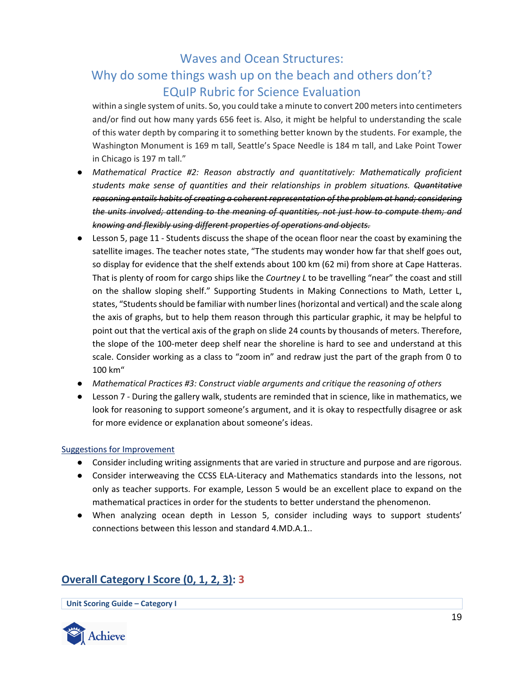within a single system of units. So, you could take a minute to convert 200 meters into centimeters and/or find out how many yards 656 feet is. Also, it might be helpful to understanding the scale of this water depth by comparing it to something better known by the students. For example, the Washington Monument is 169 m tall, Seattle's Space Needle is 184 m tall, and Lake Point Tower in Chicago is 197 m tall."

- *Mathematical Practice #2: Reason abstractly and quantitatively: Mathematically proficient students make sense of quantities and their relationships in problem situations. Quantitative reasoning entails habits of creating a coherent representation of the problem at hand; considering the units involved; attending to the meaning of quantities, not just how to compute them; and knowing and flexibly using different properties of operations and objects.*
- Lesson 5, page 11 Students discuss the shape of the ocean floor near the coast by examining the satellite images. The teacher notes state, "The students may wonder how far that shelf goes out, so display for evidence that the shelf extends about 100 km (62 mi) from shore at Cape Hatteras. That is plenty of room for cargo ships like the *Courtney L* to be travelling "near" the coast and still on the shallow sloping shelf." Supporting Students in Making Connections to Math, Letter L, states, "Students should be familiar with number lines (horizontal and vertical) and the scale along the axis of graphs, but to help them reason through this particular graphic, it may be helpful to point out that the vertical axis of the graph on slide 24 counts by thousands of meters. Therefore, the slope of the 100-meter deep shelf near the shoreline is hard to see and understand at this scale. Consider working as a class to "zoom in" and redraw just the part of the graph from 0 to 100 km"
- *Mathematical Practices #3: Construct viable arguments and critique the reasoning of others*
- Lesson 7 During the gallery walk, students are reminded that in science, like in mathematics, we look for reasoning to support someone's argument, and it is okay to respectfully disagree or ask for more evidence or explanation about someone's ideas.

### Suggestions for Improvement

- Consider including writing assignments that are varied in structure and purpose and are rigorous.
- Consider interweaving the CCSS ELA-Literacy and Mathematics standards into the lessons, not only as teacher supports. For example, Lesson 5 would be an excellent place to expand on the mathematical practices in order for the students to better understand the phenomenon.
- When analyzing ocean depth in Lesson 5, consider including ways to support students' connections between this lesson and standard 4.MD.A.1..

### **Overall Category I Score (0, 1, 2, 3): 3**

**Unit Scoring Guide – Category I**

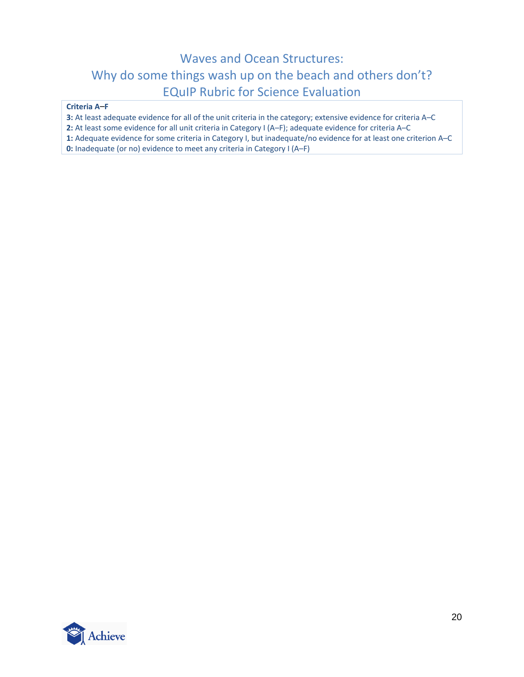#### **Criteria A***–***F**

**3:** At least adequate evidence for all of the unit criteria in the category; extensive evidence for criteria A–C

**2:** At least some evidence for all unit criteria in Category I (A–F); adequate evidence for criteria A–C

**1:** Adequate evidence for some criteria in Category I, but inadequate/no evidence for at least one criterion A–C

<span id="page-19-0"></span>**0:** Inadequate (or no) evidence to meet any criteria in Category I (A–F)

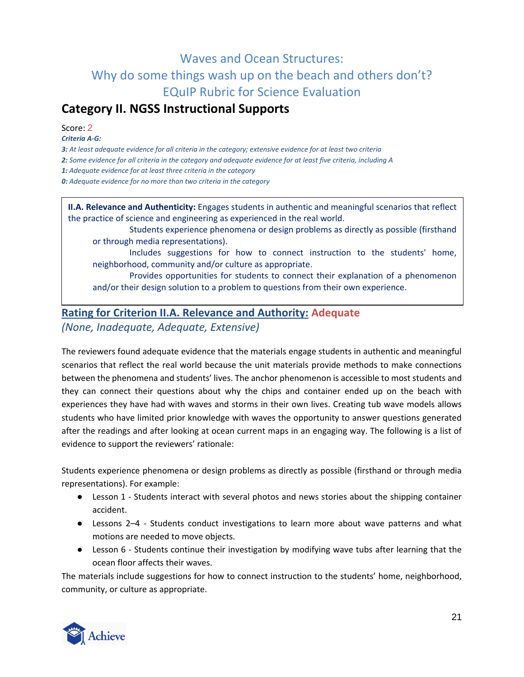## **Category II. NGSS Instructional Supports**

Score: 2

*Criteria A‐G:*

*3: At least adequate evidence for all criteria in the category; extensive evidence for at least two criteria 2: Some evidence for all criteria in the category and adequate evidence for at least five criteria, including A 1: Adequate evidence for at least three criteria in the category 0: Adequate evidence for no more than two criteria in the category*

**II.A. Relevance and Authenticity:** Engages students in authentic and meaningful scenarios that reflect the practice of science and engineering as experienced in the real world.

Students experience phenomena or design problems as directly as possible (firsthand or through media representations).

Includes suggestions for how to connect instruction to the students' home, neighborhood, community and/or culture as appropriate.

Provides opportunities for students to connect their explanation of a phenomenon and/or their design solution to a problem to questions from their own experience.

### **Rating for Criterion II.A. Relevance and Authority: Adequate** *(None, Inadequate, Adequate, Extensive)*

The reviewers found adequate evidence that the materials engage students in authentic and meaningful scenarios that reflect the real world because the unit materials provide methods to make connections between the phenomena and students' lives. The anchor phenomenon is accessible to most students and they can connect their questions about why the chips and container ended up on the beach with experiences they have had with waves and storms in their own lives. Creating tub wave models allows students who have limited prior knowledge with waves the opportunity to answer questions generated after the readings and after looking at ocean current maps in an engaging way. The following is a list of evidence to support the reviewers' rationale:

Students experience phenomena or design problems as directly as possible (firsthand or through media representations). For example:

- Lesson 1 Students interact with several photos and news stories about the shipping container accident.
- Lessons 2*–*4 Students conduct investigations to learn more about wave patterns and what motions are needed to move objects.
- Lesson 6 Students continue their investigation by modifying wave tubs after learning that the ocean floor affects their waves.

The materials include suggestions for how to connect instruction to the students' home, neighborhood, community, or culture as appropriate.

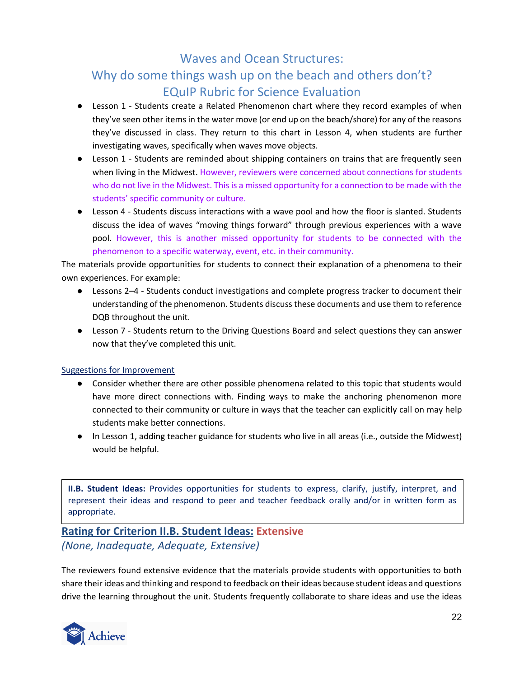- Lesson 1 Students create a Related Phenomenon chart where they record examples of when they've seen other items in the water move (or end up on the beach/shore) for any of the reasons they've discussed in class. They return to this chart in Lesson 4, when students are further investigating waves, specifically when waves move objects.
- Lesson 1 Students are reminded about shipping containers on trains that are frequently seen when living in the Midwest. However, reviewers were concerned about connections for students who do not live in the Midwest. This is a missed opportunity for a connection to be made with the students' specific community or culture.
- Lesson 4 Students discuss interactions with a wave pool and how the floor is slanted. Students discuss the idea of waves "moving things forward" through previous experiences with a wave pool. However, this is another missed opportunity for students to be connected with the phenomenon to a specific waterway, event, etc. in their community.

The materials provide opportunities for students to connect their explanation of a phenomena to their own experiences. For example:

- Lessons 2*–*4 Students conduct investigations and complete progress tracker to document their understanding of the phenomenon. Students discuss these documents and use them to reference DQB throughout the unit.
- Lesson 7 Students return to the Driving Questions Board and select questions they can answer now that they've completed this unit.

### Suggestions for Improvement

- Consider whether there are other possible phenomena related to this topic that students would have more direct connections with. Finding ways to make the anchoring phenomenon more connected to their community or culture in ways that the teacher can explicitly call on may help students make better connections.
- In Lesson 1, adding teacher guidance for students who live in all areas (i.e., outside the Midwest) would be helpful.

**II.B. Student Ideas:** Provides opportunities for students to express, clarify, justify, interpret, and represent their ideas and respond to peer and teacher feedback orally and/or in written form as appropriate.

### **Rating for Criterion II.B. Student Ideas: Extensive** *(None, Inadequate, Adequate, Extensive)*

The reviewers found extensive evidence that the materials provide students with opportunities to both share their ideas and thinking and respond to feedback on their ideas because student ideas and questions drive the learning throughout the unit. Students frequently collaborate to share ideas and use the ideas

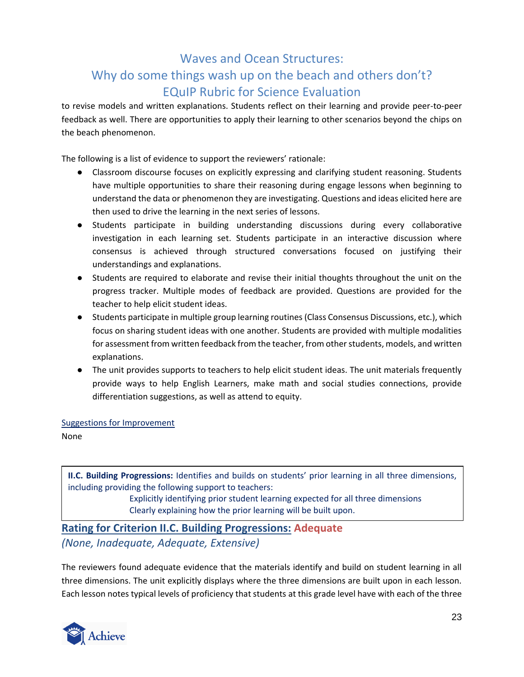to revise models and written explanations. Students reflect on their learning and provide peer-to-peer feedback as well. There are opportunities to apply their learning to other scenarios beyond the chips on the beach phenomenon.

The following is a list of evidence to support the reviewers' rationale:

- Classroom discourse focuses on explicitly expressing and clarifying student reasoning. Students have multiple opportunities to share their reasoning during engage lessons when beginning to understand the data or phenomenon they are investigating. Questions and ideas elicited here are then used to drive the learning in the next series of lessons.
- Students participate in building understanding discussions during every collaborative investigation in each learning set. Students participate in an interactive discussion where consensus is achieved through structured conversations focused on justifying their understandings and explanations.
- Students are required to elaborate and revise their initial thoughts throughout the unit on the progress tracker. Multiple modes of feedback are provided. Questions are provided for the teacher to help elicit student ideas.
- Students participate in multiple group learning routines (Class Consensus Discussions, etc.), which focus on sharing student ideas with one another. Students are provided with multiple modalities for assessment from written feedback from the teacher, from other students, models, and written explanations.
- The unit provides supports to teachers to help elicit student ideas. The unit materials frequently provide ways to help English Learners, make math and social studies connections, provide differentiation suggestions, as well as attend to equity.

Suggestions for Improvement

None

**II.C. Building Progressions:** Identifies and builds on students' prior learning in all three dimensions, including providing the following support to teachers:

Explicitly identifying prior student learning expected for all three dimensions Clearly explaining how the prior learning will be built upon.

### **Rating for Criterion II.C. Building Progressions: Adequate** *(None, Inadequate, Adequate, Extensive)*

The reviewers found adequate evidence that the materials identify and build on student learning in all three dimensions. The unit explicitly displays where the three dimensions are built upon in each lesson. Each lesson notes typical levels of proficiency that students at this grade level have with each of the three

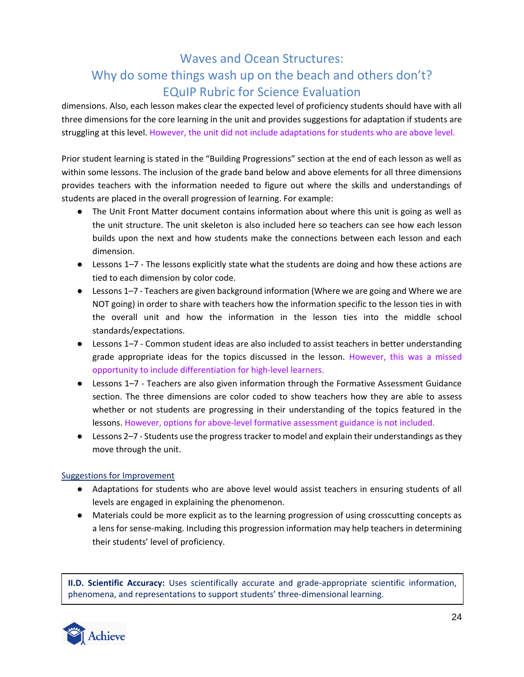dimensions. Also, each lesson makes clear the expected level of proficiency students should have with all three dimensions for the core learning in the unit and provides suggestions for adaptation if students are struggling at this level. However, the unit did not include adaptations for students who are above level.

Prior student learning is stated in the "Building Progressions" section at the end of each lesson as well as within some lessons. The inclusion of the grade band below and above elements for all three dimensions provides teachers with the information needed to figure out where the skills and understandings of students are placed in the overall progression of learning. For example:

- The Unit Front Matter document contains information about where this unit is going as well as the unit structure. The unit skeleton is also included here so teachers can see how each lesson builds upon the next and how students make the connections between each lesson and each dimension.
- Lessons 1*–*7 The lessons explicitly state what the students are doing and how these actions are tied to each dimension by color code.
- Lessons 1*–*7 Teachers are given background information (Where we are going and Where we are NOT going) in order to share with teachers how the information specific to the lesson ties in with the overall unit and how the information in the lesson ties into the middle school standards/expectations.
- Lessons 1*–*7 Common student ideas are also included to assist teachers in better understanding grade appropriate ideas for the topics discussed in the lesson. However, this was a missed opportunity to include differentiation for high-level learners.
- Lessons 1–7 Teachers are also given information through the Formative Assessment Guidance section. The three dimensions are color coded to show teachers how they are able to assess whether or not students are progressing in their understanding of the topics featured in the lessons. However, options for above-level formative assessment guidance is not included.
- Lessons 2*–*7 Students use the progress tracker to model and explain their understandings as they move through the unit.

### Suggestions for Improvement

- Adaptations for students who are above level would assist teachers in ensuring students of all levels are engaged in explaining the phenomenon.
- Materials could be more explicit as to the learning progression of using crosscutting concepts as a lens for sense-making. Including this progression information may help teachers in determining their students' level of proficiency.

**II.D. Scientific Accuracy:** Uses scientifically accurate and grade-appropriate scientific information, phenomena, and representations to support students' three-dimensional learning.

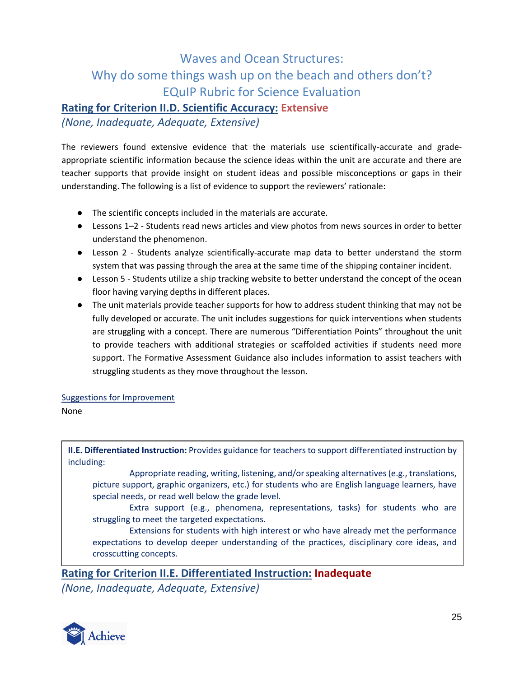### **Rating for Criterion II.D. Scientific Accuracy: Extensive**

*(None, Inadequate, Adequate, Extensive)*

The reviewers found extensive evidence that the materials use scientifically-accurate and gradeappropriate scientific information because the science ideas within the unit are accurate and there are teacher supports that provide insight on student ideas and possible misconceptions or gaps in their understanding. The following is a list of evidence to support the reviewers' rationale:

- The scientific concepts included in the materials are accurate.
- Lessons 1*–*2 Students read news articles and view photos from news sources in order to better understand the phenomenon.
- Lesson 2 Students analyze scientifically-accurate map data to better understand the storm system that was passing through the area at the same time of the shipping container incident.
- Lesson 5 Students utilize a ship tracking website to better understand the concept of the ocean floor having varying depths in different places.
- The unit materials provide teacher supports for how to address student thinking that may not be fully developed or accurate. The unit includes suggestions for quick interventions when students are struggling with a concept. There are numerous "Differentiation Points" throughout the unit to provide teachers with additional strategies or scaffolded activities if students need more support. The Formative Assessment Guidance also includes information to assist teachers with struggling students as they move throughout the lesson.

### Suggestions for Improvement

### None

**II.E. Differentiated Instruction:** Provides guidance for teachers to support differentiated instruction by including:

Appropriate reading, writing, listening, and/or speaking alternatives (e.g., translations, picture support, graphic organizers, etc.) for students who are English language learners, have special needs, or read well below the grade level.

Extra support (e.g., phenomena, representations, tasks) for students who are struggling to meet the targeted expectations.

Extensions for students with high interest or who have already met the performance expectations to develop deeper understanding of the practices, disciplinary core ideas, and crosscutting concepts.

**Rating for Criterion II.E. Differentiated Instruction: Inadequate**

*(None, Inadequate, Adequate, Extensive)*

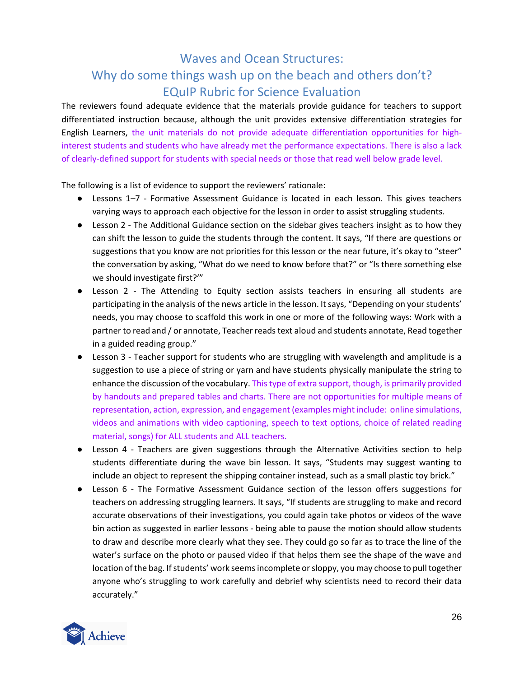The reviewers found adequate evidence that the materials provide guidance for teachers to support differentiated instruction because, although the unit provides extensive differentiation strategies for English Learners, the unit materials do not provide adequate differentiation opportunities for highinterest students and students who have already met the performance expectations. There is also a lack of clearly-defined support for students with special needs or those that read well below grade level.

- Lessons 1*–*7 Formative Assessment Guidance is located in each lesson. This gives teachers varying ways to approach each objective for the lesson in order to assist struggling students.
- Lesson 2 The Additional Guidance section on the sidebar gives teachers insight as to how they can shift the lesson to guide the students through the content. It says, "If there are questions or suggestions that you know are not priorities for this lesson or the near future, it's okay to "steer" the conversation by asking, "What do we need to know before that?" or "Is there something else we should investigate first?'"
- Lesson 2 The Attending to Equity section assists teachers in ensuring all students are participating in the analysis of the news article in the lesson. It says, "Depending on your students' needs, you may choose to scaffold this work in one or more of the following ways: Work with a partner to read and / or annotate, Teacher reads text aloud and students annotate, Read together in a guided reading group."
- Lesson 3 Teacher support for students who are struggling with wavelength and amplitude is a suggestion to use a piece of string or yarn and have students physically manipulate the string to enhance the discussion of the vocabulary. This type of extra support, though, is primarily provided by handouts and prepared tables and charts. There are not opportunities for multiple means of representation, action, expression, and engagement (examples might include: online simulations, videos and animations with video captioning, speech to text options, choice of related reading material, songs) for ALL students and ALL teachers.
- Lesson 4 Teachers are given suggestions through the Alternative Activities section to help students differentiate during the wave bin lesson. It says, "Students may suggest wanting to include an object to represent the shipping container instead, such as a small plastic toy brick."
- Lesson 6 The Formative Assessment Guidance section of the lesson offers suggestions for teachers on addressing struggling learners. It says, "If students are struggling to make and record accurate observations of their investigations, you could again take photos or videos of the wave bin action as suggested in earlier lessons - being able to pause the motion should allow students to draw and describe more clearly what they see. They could go so far as to trace the line of the water's surface on the photo or paused video if that helps them see the shape of the wave and location of the bag. If students' work seems incomplete or sloppy, you may choose to pull together anyone who's struggling to work carefully and debrief why scientists need to record their data accurately."

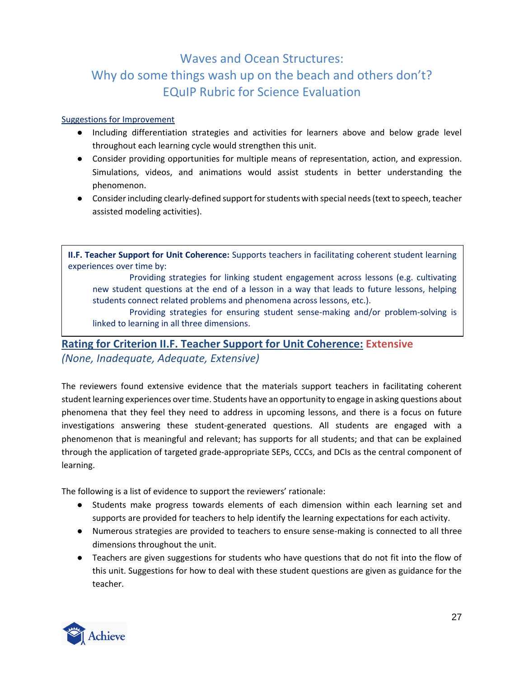### Suggestions for Improvement

- Including differentiation strategies and activities for learners above and below grade level throughout each learning cycle would strengthen this unit.
- Consider providing opportunities for multiple means of representation, action, and expression. Simulations, videos, and animations would assist students in better understanding the phenomenon.
- Consider including clearly-defined support for students with special needs (text to speech, teacher assisted modeling activities).

**II.F. Teacher Support for Unit Coherence:** Supports teachers in facilitating coherent student learning experiences over time by:

Providing strategies for linking student engagement across lessons (e.g. cultivating new student questions at the end of a lesson in a way that leads to future lessons, helping students connect related problems and phenomena across lessons, etc.).

Providing strategies for ensuring student sense-making and/or problem-solving is linked to learning in all three dimensions.

# **Rating for Criterion II.F. Teacher Support for Unit Coherence: Extensive**

*(None, Inadequate, Adequate, Extensive)*

The reviewers found extensive evidence that the materials support teachers in facilitating coherent student learning experiences over time. Students have an opportunity to engage in asking questions about phenomena that they feel they need to address in upcoming lessons, and there is a focus on future investigations answering these student-generated questions. All students are engaged with a phenomenon that is meaningful and relevant; has supports for all students; and that can be explained through the application of targeted grade-appropriate SEPs, CCCs, and DCIs as the central component of learning.

- Students make progress towards elements of each dimension within each learning set and supports are provided for teachers to help identify the learning expectations for each activity.
- Numerous strategies are provided to teachers to ensure sense-making is connected to all three dimensions throughout the unit.
- Teachers are given suggestions for students who have questions that do not fit into the flow of this unit. Suggestions for how to deal with these student questions are given as guidance for the teacher.

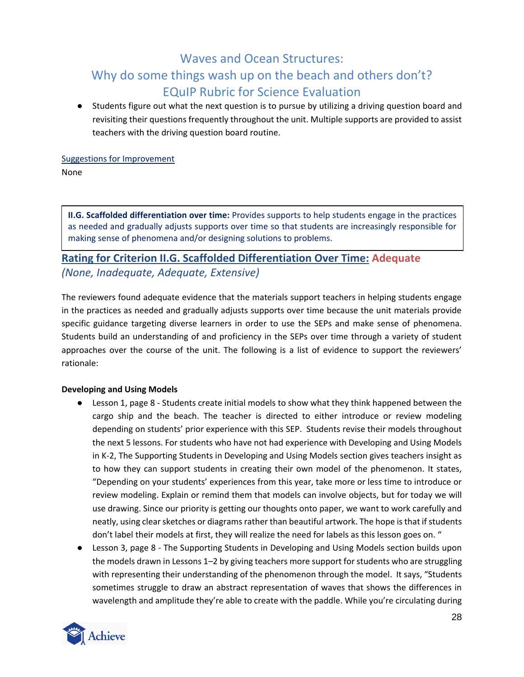● Students figure out what the next question is to pursue by utilizing a driving question board and revisiting their questions frequently throughout the unit. Multiple supports are provided to assist teachers with the driving question board routine.

# Suggestions for Improvement

None

**II.G. Scaffolded differentiation over time:** Provides supports to help students engage in the practices as needed and gradually adjusts supports over time so that students are increasingly responsible for making sense of phenomena and/or designing solutions to problems.

### **Rating for Criterion II.G. Scaffolded Differentiation Over Time: Adequate** *(None, Inadequate, Adequate, Extensive)*

The reviewers found adequate evidence that the materials support teachers in helping students engage in the practices as needed and gradually adjusts supports over time because the unit materials provide specific guidance targeting diverse learners in order to use the SEPs and make sense of phenomena. Students build an understanding of and proficiency in the SEPs over time through a variety of student approaches over the course of the unit. The following is a list of evidence to support the reviewers' rationale:

### **Developing and Using Models**

- Lesson 1, page 8 Students create initial models to show what they think happened between the cargo ship and the beach. The teacher is directed to either introduce or review modeling depending on students' prior experience with this SEP. Students revise their models throughout the next 5 lessons. For students who have not had experience with Developing and Using Models in K-2, The Supporting Students in Developing and Using Models section gives teachers insight as to how they can support students in creating their own model of the phenomenon. It states, "Depending on your students' experiences from this year, take more or less time to introduce or review modeling. Explain or remind them that models can involve objects, but for today we will use drawing. Since our priority is getting our thoughts onto paper, we want to work carefully and neatly, using clear sketches or diagrams rather than beautiful artwork. The hope is that if students don't label their models at first, they will realize the need for labels as this lesson goes on. "
- Lesson 3, page 8 The Supporting Students in Developing and Using Models section builds upon the models drawn in Lessons 1*–*2 by giving teachers more support for students who are struggling with representing their understanding of the phenomenon through the model. It says, "Students sometimes struggle to draw an abstract representation of waves that shows the differences in wavelength and amplitude they're able to create with the paddle. While you're circulating during

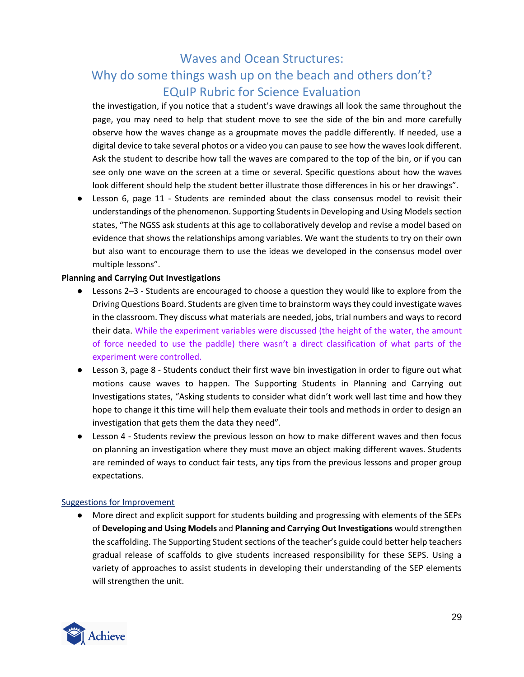the investigation, if you notice that a student's wave drawings all look the same throughout the page, you may need to help that student move to see the side of the bin and more carefully observe how the waves change as a groupmate moves the paddle differently. If needed, use a digital device to take several photos or a video you can pause to see how the waves look different. Ask the student to describe how tall the waves are compared to the top of the bin, or if you can see only one wave on the screen at a time or several. Specific questions about how the waves look different should help the student better illustrate those differences in his or her drawings".

● Lesson 6, page 11 - Students are reminded about the class consensus model to revisit their understandings of the phenomenon. Supporting Students in Developing and Using Models section states, "The NGSS ask students at this age to collaboratively develop and revise a model based on evidence that shows the relationships among variables. We want the students to try on their own but also want to encourage them to use the ideas we developed in the consensus model over multiple lessons".

### **Planning and Carrying Out Investigations**

- Lessons 2*–*3 Students are encouraged to choose a question they would like to explore from the Driving Questions Board. Students are given time to brainstorm ways they could investigate waves in the classroom. They discuss what materials are needed, jobs, trial numbers and ways to record their data. While the experiment variables were discussed (the height of the water, the amount of force needed to use the paddle) there wasn't a direct classification of what parts of the experiment were controlled.
- Lesson 3, page 8 Students conduct their first wave bin investigation in order to figure out what motions cause waves to happen. The Supporting Students in Planning and Carrying out Investigations states, "Asking students to consider what didn't work well last time and how they hope to change it this time will help them evaluate their tools and methods in order to design an investigation that gets them the data they need".
- Lesson 4 Students review the previous lesson on how to make different waves and then focus on planning an investigation where they must move an object making different waves. Students are reminded of ways to conduct fair tests, any tips from the previous lessons and proper group expectations.

### Suggestions for Improvement

● More direct and explicit support for students building and progressing with elements of the SEPs of **Developing and Using Models** and **Planning and Carrying Out Investigations** would strengthen the scaffolding. The Supporting Student sections of the teacher's guide could better help teachers gradual release of scaffolds to give students increased responsibility for these SEPS. Using a variety of approaches to assist students in developing their understanding of the SEP elements will strengthen the unit.

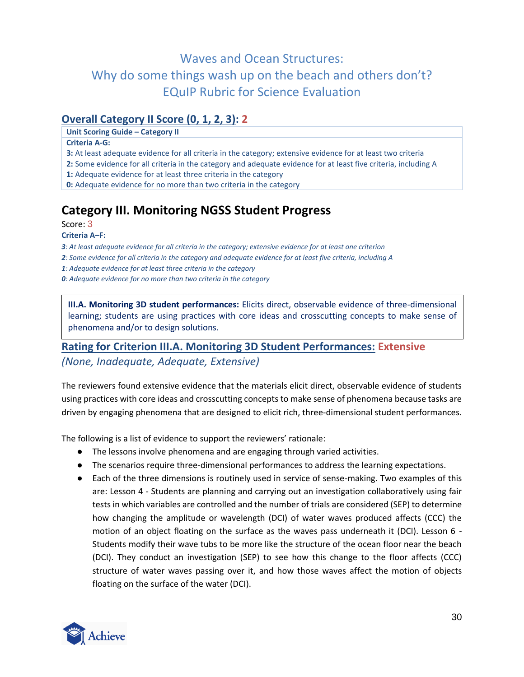### **Overall Category II Score (0, 1, 2, 3): 2**

**Unit Scoring Guide – Category II**

#### **Criteria A‐G:**

- **3:** At least adequate evidence for all criteria in the category; extensive evidence for at least two criteria
- **2:** Some evidence for all criteria in the category and adequate evidence for at least five criteria, including A
- **1:** Adequate evidence for at least three criteria in the category
- **0:** Adequate evidence for no more than two criteria in the category

# **Category III. Monitoring NGSS Student Progress**

#### Score: 3

#### **Criteria A***–***F:**

- *3: At least adequate evidence for all criteria in the category; extensive evidence for at least one criterion*
- *2: Some evidence for all criteria in the category and adequate evidence for at least five criteria, including A*
- *1: Adequate evidence for at least three criteria in the category*
- *0: Adequate evidence for no more than two criteria in the category*

**III.A. Monitoring 3D student performances:** Elicits direct, observable evidence of three-dimensional learning; students are using practices with core ideas and crosscutting concepts to make sense of phenomena and/or to design solutions.

### **Rating for Criterion III.A. Monitoring 3D Student Performances: Extensive** *(None, Inadequate, Adequate, Extensive)*

The reviewers found extensive evidence that the materials elicit direct, observable evidence of students using practices with core ideas and crosscutting concepts to make sense of phenomena because tasks are driven by engaging phenomena that are designed to elicit rich, three-dimensional student performances.

- The lessons involve phenomena and are engaging through varied activities.
- The scenarios require three-dimensional performances to address the learning expectations.
- Each of the three dimensions is routinely used in service of sense-making. Two examples of this are: Lesson 4 - Students are planning and carrying out an investigation collaboratively using fair tests in which variables are controlled and the number of trials are considered (SEP) to determine how changing the amplitude or wavelength (DCI) of water waves produced affects (CCC) the motion of an object floating on the surface as the waves pass underneath it (DCI). Lesson 6 - Students modify their wave tubs to be more like the structure of the ocean floor near the beach (DCI). They conduct an investigation (SEP) to see how this change to the floor affects (CCC) structure of water waves passing over it, and how those waves affect the motion of objects floating on the surface of the water (DCI).

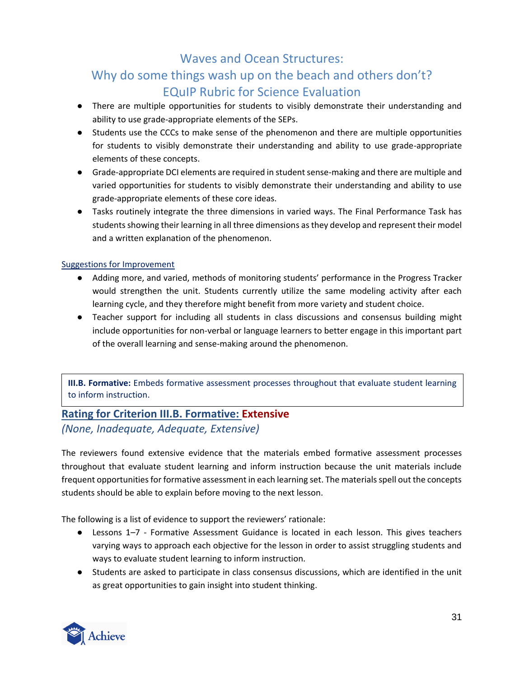# Why do some things wash up on the beach and others don't? EQuIP Rubric for Science Evaluation

- There are multiple opportunities for students to visibly demonstrate their understanding and ability to use grade-appropriate elements of the SEPs.
- Students use the CCCs to make sense of the phenomenon and there are multiple opportunities for students to visibly demonstrate their understanding and ability to use grade-appropriate elements of these concepts.
- Grade-appropriate DCI elements are required in student sense-making and there are multiple and varied opportunities for students to visibly demonstrate their understanding and ability to use grade-appropriate elements of these core ideas.
- Tasks routinely integrate the three dimensions in varied ways. The Final Performance Task has students showing their learning in all three dimensions as they develop and represent their model and a written explanation of the phenomenon.

### Suggestions for Improvement

- Adding more, and varied, methods of monitoring students' performance in the Progress Tracker would strengthen the unit. Students currently utilize the same modeling activity after each learning cycle, and they therefore might benefit from more variety and student choice.
- Teacher support for including all students in class discussions and consensus building might include opportunities for non-verbal or language learners to better engage in this important part of the overall learning and sense-making around the phenomenon.

**III.B. Formative:** Embeds formative assessment processes throughout that evaluate student learning to inform instruction.

### **Rating for Criterion III.B. Formative: Extensive** *(None, Inadequate, Adequate, Extensive)*

The reviewers found extensive evidence that the materials embed formative assessment processes throughout that evaluate student learning and inform instruction because the unit materials include frequent opportunities for formative assessment in each learning set. The materials spell out the concepts students should be able to explain before moving to the next lesson.

- Lessons 1*–*7 Formative Assessment Guidance is located in each lesson. This gives teachers varying ways to approach each objective for the lesson in order to assist struggling students and ways to evaluate student learning to inform instruction.
- Students are asked to participate in class consensus discussions, which are identified in the unit as great opportunities to gain insight into student thinking.

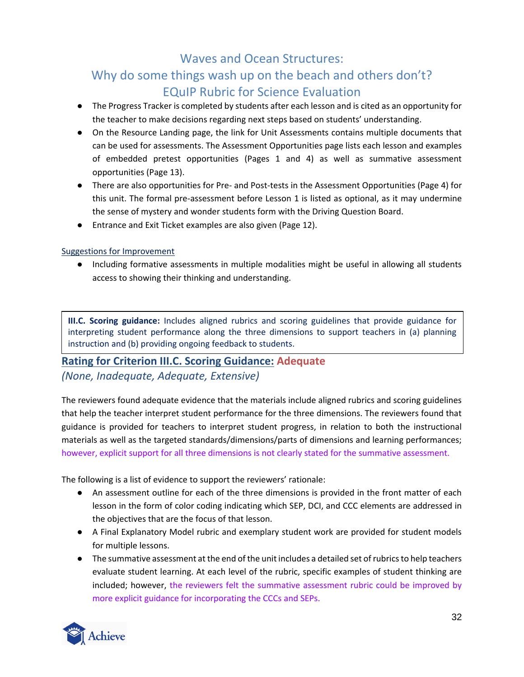# Why do some things wash up on the beach and others don't? EQuIP Rubric for Science Evaluation

- The Progress Tracker is completed by students after each lesson and is cited as an opportunity for the teacher to make decisions regarding next steps based on students' understanding.
- On the Resource Landing page, the link for Unit Assessments contains multiple documents that can be used for assessments. The Assessment Opportunities page lists each lesson and examples of embedded pretest opportunities (Pages 1 and 4) as well as summative assessment opportunities (Page 13).
- There are also opportunities for Pre- and Post-tests in the Assessment Opportunities (Page 4) for this unit. The formal pre-assessment before Lesson 1 is listed as optional, as it may undermine the sense of mystery and wonder students form with the Driving Question Board.
- Entrance and Exit Ticket examples are also given (Page 12).

### Suggestions for Improvement

● Including formative assessments in multiple modalities might be useful in allowing all students access to showing their thinking and understanding.

**III.C. Scoring guidance:** Includes aligned rubrics and scoring guidelines that provide guidance for interpreting student performance along the three dimensions to support teachers in (a) planning instruction and (b) providing ongoing feedback to students.

## **Rating for Criterion III.C. Scoring Guidance: Adequate**

### *(None, Inadequate, Adequate, Extensive)*

The reviewers found adequate evidence that the materials include aligned rubrics and scoring guidelines that help the teacher interpret student performance for the three dimensions. The reviewers found that guidance is provided for teachers to interpret student progress, in relation to both the instructional materials as well as the targeted standards/dimensions/parts of dimensions and learning performances; however, explicit support for all three dimensions is not clearly stated for the summative assessment.

- An assessment outline for each of the three dimensions is provided in the front matter of each lesson in the form of color coding indicating which SEP, DCI, and CCC elements are addressed in the objectives that are the focus of that lesson.
- A Final Explanatory Model rubric and exemplary student work are provided for student models for multiple lessons.
- The summative assessment at the end of the unit includes a detailed set of rubrics to help teachers evaluate student learning. At each level of the rubric, specific examples of student thinking are included; however, the reviewers felt the summative assessment rubric could be improved by more explicit guidance for incorporating the CCCs and SEPs.

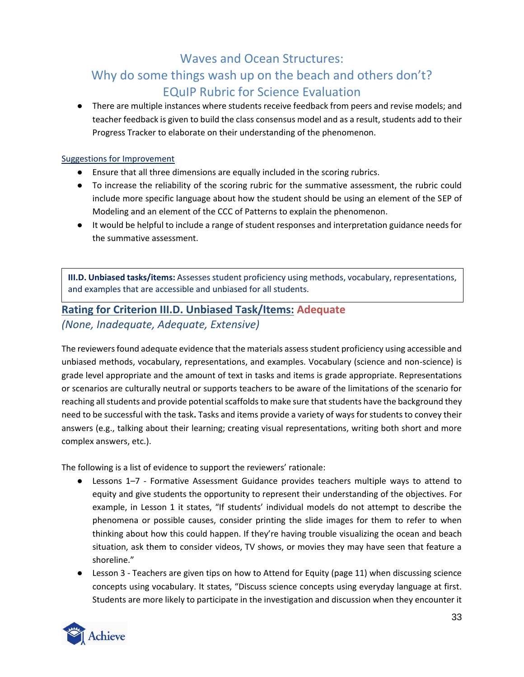● There are multiple instances where students receive feedback from peers and revise models; and teacher feedback is given to build the class consensus model and as a result, students add to their Progress Tracker to elaborate on their understanding of the phenomenon.

#### Suggestions for Improvement

- Ensure that all three dimensions are equally included in the scoring rubrics.
- To increase the reliability of the scoring rubric for the summative assessment, the rubric could include more specific language about how the student should be using an element of the SEP of Modeling and an element of the CCC of Patterns to explain the phenomenon.
- It would be helpful to include a range of student responses and interpretation guidance needs for the summative assessment.

**III.D. Unbiased tasks/items:** Assesses student proficiency using methods, vocabulary, representations, and examples that are accessible and unbiased for all students.

### **Rating for Criterion III.D. Unbiased Task/Items: Adequate** *(None, Inadequate, Adequate, Extensive)*

The reviewers found adequate evidence that the materials assess student proficiency using accessible and unbiased methods, vocabulary, representations, and examples. Vocabulary (science and non-science) is grade level appropriate and the amount of text in tasks and items is grade appropriate. Representations or scenarios are culturally neutral or supports teachers to be aware of the limitations of the scenario for reaching all students and provide potential scaffolds to make sure that students have the background they need to be successful with the task**.** Tasks and items provide a variety of ways for students to convey their answers (e.g., talking about their learning; creating visual representations, writing both short and more complex answers, etc.).

- Lessons 1*–*7 Formative Assessment Guidance provides teachers multiple ways to attend to equity and give students the opportunity to represent their understanding of the objectives. For example, in Lesson 1 it states, "If students' individual models do not attempt to describe the phenomena or possible causes, consider printing the slide images for them to refer to when thinking about how this could happen. If they're having trouble visualizing the ocean and beach situation, ask them to consider videos, TV shows, or movies they may have seen that feature a shoreline."
- Lesson 3 Teachers are given tips on how to Attend for Equity (page 11) when discussing science concepts using vocabulary. It states, "Discuss science concepts using everyday language at first. Students are more likely to participate in the investigation and discussion when they encounter it

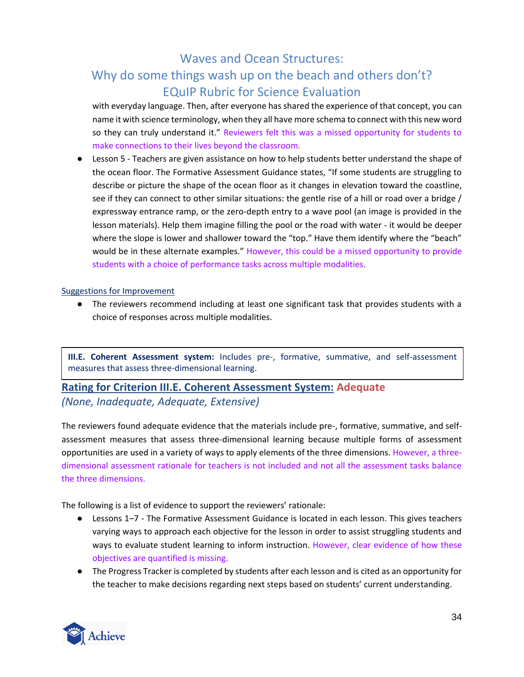# Why do some things wash up on the beach and others don't? EQuIP Rubric for Science Evaluation

with everyday language. Then, after everyone has shared the experience of that concept, you can name it with science terminology, when they all have more schema to connect with this new word so they can truly understand it." Reviewers felt this was a missed opportunity for students to make connections to their lives beyond the classroom.

● Lesson 5 - Teachers are given assistance on how to help students better understand the shape of the ocean floor. The Formative Assessment Guidance states, "If some students are struggling to describe or picture the shape of the ocean floor as it changes in elevation toward the coastline, see if they can connect to other similar situations: the gentle rise of a hill or road over a bridge / expressway entrance ramp, or the zero-depth entry to a wave pool (an image is provided in the lesson materials). Help them imagine filling the pool or the road with water - it would be deeper where the slope is lower and shallower toward the "top." Have them identify where the "beach" would be in these alternate examples." However, this could be a missed opportunity to provide students with a choice of performance tasks across multiple modalities.

#### Suggestions for Improvement

● The reviewers recommend including at least one significant task that provides students with a choice of responses across multiple modalities.

**III.E. Coherent Assessment system:** Includes pre-, formative, summative, and self-assessment measures that assess three-dimensional learning.

### **Rating for Criterion III.E. Coherent Assessment System: Adequate** *(None, Inadequate, Adequate, Extensive)*

The reviewers found adequate evidence that the materials include pre-, formative, summative, and selfassessment measures that assess three-dimensional learning because multiple forms of assessment opportunities are used in a variety of ways to apply elements of the three dimensions. However, a threedimensional assessment rationale for teachers is not included and not all the assessment tasks balance the three dimensions.

- Lessons 1*–*7 The Formative Assessment Guidance is located in each lesson. This gives teachers varying ways to approach each objective for the lesson in order to assist struggling students and ways to evaluate student learning to inform instruction. However, clear evidence of how these objectives are quantified is missing.
- The Progress Tracker is completed by students after each lesson and is cited as an opportunity for the teacher to make decisions regarding next steps based on students' current understanding.

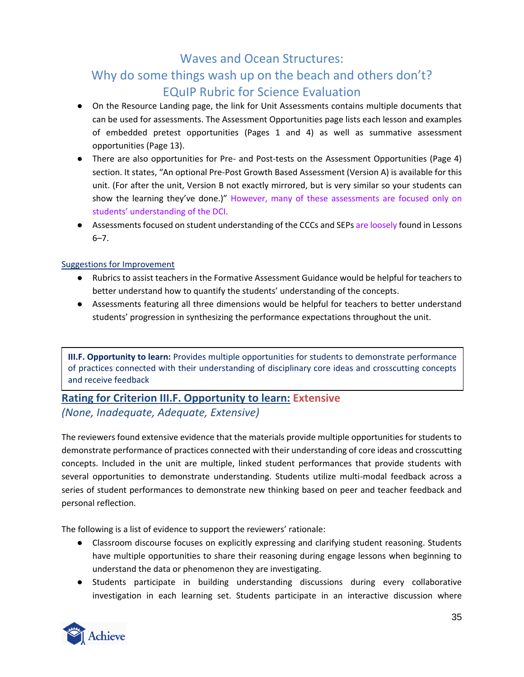- On the Resource Landing page, the link for Unit Assessments contains multiple documents that can be used for assessments. The Assessment Opportunities page lists each lesson and examples of embedded pretest opportunities (Pages 1 and 4) as well as summative assessment opportunities (Page 13).
- There are also opportunities for Pre- and Post-tests on the Assessment Opportunities (Page 4) section. It states, "An optional Pre-Post Growth Based Assessment (Version A) is available for this unit. (For after the unit, Version B not exactly mirrored, but is very similar so your students can show the learning they've done.)" However, many of these assessments are focused only on students' understanding of the DCI.
- Assessments focused on student understanding of the CCCs and SEPs are loosely found in Lessons 6*–*7.

### Suggestions for Improvement

- Rubrics to assist teachers in the Formative Assessment Guidance would be helpful for teachers to better understand how to quantify the students' understanding of the concepts.
- Assessments featuring all three dimensions would be helpful for teachers to better understand students' progression in synthesizing the performance expectations throughout the unit.

**III.F. Opportunity to learn:** Provides multiple opportunities for students to demonstrate performance of practices connected with their understanding of disciplinary core ideas and crosscutting concepts and receive feedback

### **Rating for Criterion III.F. Opportunity to learn: Extensive** *(None, Inadequate, Adequate, Extensive)*

The reviewers found extensive evidence that the materials provide multiple opportunities for students to demonstrate performance of practices connected with their understanding of core ideas and crosscutting concepts. Included in the unit are multiple, linked student performances that provide students with several opportunities to demonstrate understanding. Students utilize multi-modal feedback across a series of student performances to demonstrate new thinking based on peer and teacher feedback and personal reflection.

- Classroom discourse focuses on explicitly expressing and clarifying student reasoning. Students have multiple opportunities to share their reasoning during engage lessons when beginning to understand the data or phenomenon they are investigating.
- Students participate in building understanding discussions during every collaborative investigation in each learning set. Students participate in an interactive discussion where

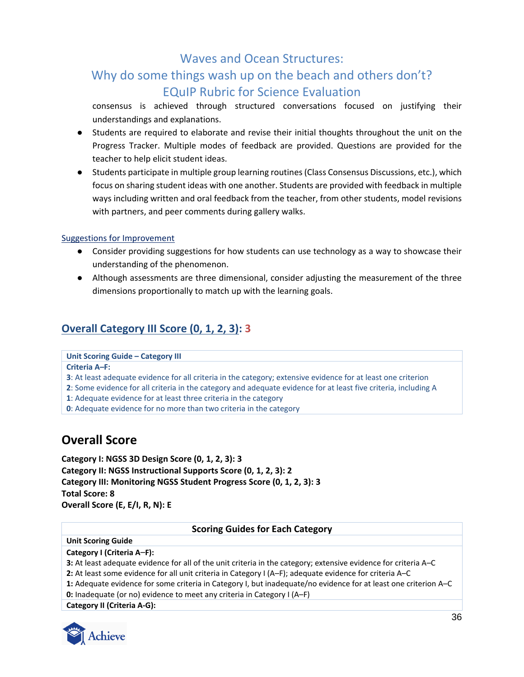# Why do some things wash up on the beach and others don't? EQuIP Rubric for Science Evaluation

consensus is achieved through structured conversations focused on justifying their understandings and explanations.

- Students are required to elaborate and revise their initial thoughts throughout the unit on the Progress Tracker. Multiple modes of feedback are provided. Questions are provided for the teacher to help elicit student ideas.
- Students participate in multiple group learning routines (Class Consensus Discussions, etc.), which focus on sharing student ideas with one another. Students are provided with feedback in multiple ways including written and oral feedback from the teacher, from other students, model revisions with partners, and peer comments during gallery walks.

### Suggestions for Improvement

- Consider providing suggestions for how students can use technology as a way to showcase their understanding of the phenomenon.
- Although assessments are three dimensional, consider adjusting the measurement of the three dimensions proportionally to match up with the learning goals.

### **Overall Category III Score (0, 1, 2, 3): 3**

#### **Unit Scoring Guide – Category III**

#### **Criteria A***–***F:**

**3**: At least adequate evidence for all criteria in the category; extensive evidence for at least one criterion

**2**: Some evidence for all criteria in the category and adequate evidence for at least five criteria, including A

**1**: Adequate evidence for at least three criteria in the category

<span id="page-35-0"></span>**0**: Adequate evidence for no more than two criteria in the category

## **Overall Score**

**Category I: NGSS 3D Design Score (0, 1, 2, 3): 3 Category II: NGSS Instructional Supports Score (0, 1, 2, 3): 2 Category III: Monitoring NGSS Student Progress Score (0, 1, 2, 3): 3 Total Score: 8 Overall Score (E, E/I, R, N): E**

#### **Scoring Guides for Each Category**

#### **Unit Scoring Guide**

**Category I (Criteria A***–***F):**

**3:** At least adequate evidence for all of the unit criteria in the category; extensive evidence for criteria A–C

**2:** At least some evidence for all unit criteria in Category I (A–F); adequate evidence for criteria A–C

**1:** Adequate evidence for some criteria in Category I, but inadequate/no evidence for at least one criterion A–C

**0:** Inadequate (or no) evidence to meet any criteria in Category I (A–F)

**Category II (Criteria A‐G):**